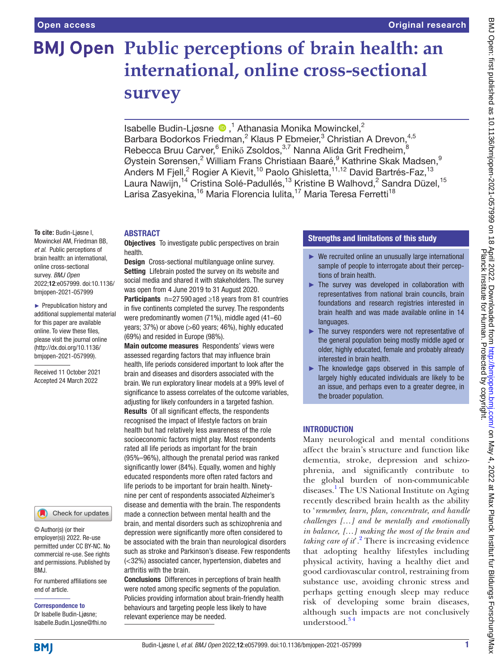# **BMJ Open Public perceptions of brain health: an international, online cross-sectional survey**

Isabelle Budin-Ljøsne <sup>1</sup>,<sup>1</sup> Athanasia Monika Mowinckel,<sup>2</sup> Barbara Bodorkos Friedman,<sup>2</sup> Klaus P Ebmeier,<sup>3</sup> Christian A Drevon,<sup>4,5</sup> Rebecca Bruu Carver, $^6$  Enikő Zsoldos, $^{3,7}$  Nanna Alida Grit Fredheim, $^8$ Øystein Sørensen, $^2$  William Frans Christiaan Baaré, $^9$  Kathrine Skak Madsen, $^{\rm g}$ Anders M Fjell,<sup>2</sup> Rogier A Kievit,<sup>10</sup> Paolo Ghisletta,<sup>11,12</sup> David Bartrés-Faz,<sup>13</sup> Laura Nawijn, $^{14}$  Cristina Solé-Padullés, $^{13}$  Kristine B Walhovd, $^{2}$  Sandra Düzel, $^{15}$ Larisa Zasyekina,<sup>16</sup> Maria Florencia Iulita,<sup>17</sup> Maria Teresa Ferretti<sup>18</sup>

#### ABSTRACT

**Objectives** To investigate public perspectives on brain health.

Design Cross-sectional multilanguage online survey. Setting Lifebrain posted the survey on its website and social media and shared it with stakeholders. The survey was open from 4 June 2019 to 31 August 2020.

Participants n=27 590 aged ≥18 years from 81 countries in five continents completed the survey. The respondents were predominantly women (71%), middle aged (41–60 years; 37%) or above (>60 years; 46%), highly educated (69%) and resided in Europe (98%).

Main outcome measures Respondents' views were assessed regarding factors that may influence brain health, life periods considered important to look after the brain and diseases and disorders associated with the brain. We run exploratory linear models at a 99% level of significance to assess correlates of the outcome variables, adjusting for likely confounders in a targeted fashion. Results Of all significant effects, the respondents recognised the impact of lifestyle factors on brain health but had relatively less awareness of the role socioeconomic factors might play. Most respondents rated all life periods as important for the brain (95%–96%), although the prenatal period was ranked significantly lower (84%). Equally, women and highly educated respondents more often rated factors and life periods to be important for brain health. Ninetynine per cent of respondents associated Alzheimer's disease and dementia with the brain. The respondents made a connection between mental health and the brain, and mental disorders such as schizophrenia and depression were significantly more often considered to be associated with the brain than neurological disorders such as stroke and Parkinson's disease. Few respondents (<32%) associated cancer, hypertension, diabetes and arthritis with the brain.

Conclusions Differences in perceptions of brain health were noted among specific segments of the population. Policies providing information about brain-friendly health behaviours and targeting people less likely to have relevant experience may be needed.

### Strengths and limitations of this study

- $\blacktriangleright$  We recruited online an unusually large international sample of people to interrogate about their perceptions of brain health.
- ► The survey was developed in collaboration with representatives from national brain councils, brain foundations and research registries interested in brain health and was made available online in 14 **languages**
- ► The survey responders were not representative of the general population being mostly middle aged or older, highly educated, female and probably already interested in brain health.
- ► The knowledge gaps observed in this sample of largely highly educated individuals are likely to be an issue, and perhaps even to a greater degree, in the broader population.

### INTRODUCTION

Many neurological and mental conditions affect the brain's structure and function like dementia, stroke, depression and schizophrenia, and significantly contribute to the global burden of non-communicable diseases[.1](#page-13-0) The US National Institute on Aging recently described brain health as the ability to '*remember, learn, plan, concentrate, and handle challenges […] and be mentally and emotionally in balance, […] making the most of the brain and taking care of it*'*.* [2](#page-13-1) There is increasing evidence that adopting healthy lifestyles including physical activity, having a healthy diet and good cardiovascular control, restraining from substance use, avoiding chronic stress and perhaps getting enough sleep may reduce risk of developing some brain diseases, although such impacts are not conclusively understood[.3 4](#page-13-2)

online cross-sectional survey. *BMJ Open* 2022;12:e057999. doi:10.1136/ bmjopen-2021-057999 ► Prepublication history and additional supplemental material for this paper are available

**To cite:** Budin-Ljøsne I, Mowinckel AM, Friedman BB, *et al*. Public perceptions of brain health: an international,

online. To view these files, please visit the journal online [\(http://dx.doi.org/10.1136/](http://dx.doi.org/10.1136/bmjopen-2021-057999) [bmjopen-2021-057999](http://dx.doi.org/10.1136/bmjopen-2021-057999)).

Received 11 October 2021 Accepted 24 March 2022



© Author(s) (or their employer(s)) 2022. Re-use permitted under CC BY-NC. No commercial re-use. See rights and permissions. Published by BMJ.

For numbered affiliations see end of article.

Isabelle.Budin.Ljosne@fhi.no

Correspondence to Dr Isabelle Budin-Ljøsne;

**BMI**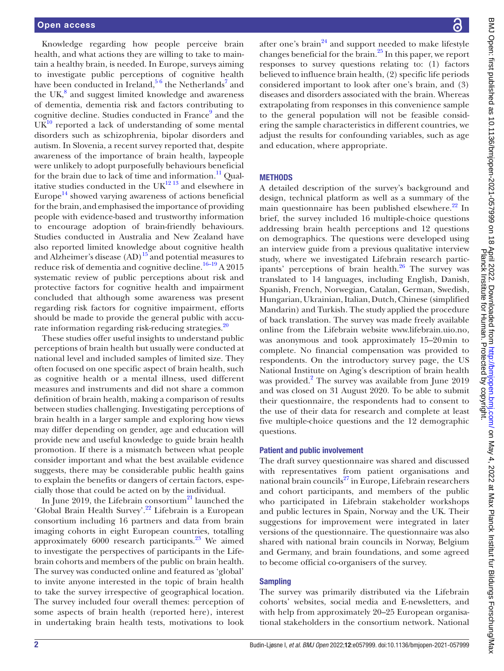Knowledge regarding how people perceive brain health, and what actions they are willing to take to maintain a healthy brain, is needed. In Europe, surveys aiming to investigate public perceptions of cognitive health have been conducted in Ireland, $56$  the Netherlands<sup>[7](#page-13-4)</sup> and the UK $<sup>8</sup>$  $<sup>8</sup>$  $<sup>8</sup>$  and suggest limited knowledge and awareness</sup> of dementia, dementia risk and factors contributing to cognitive decline. Studies conducted in France<sup>[9](#page-13-6)</sup> and the  $UK<sup>10</sup>$  reported a lack of understanding of some mental disorders such as schizophrenia, bipolar disorders and autism. In Slovenia, a recent survey reported that, despite awareness of the importance of brain health, laypeople were unlikely to adopt purposefully behaviours beneficial for the brain due to lack of time and information.<sup>11</sup> Qualitative studies conducted in the  $UK^{12}$  13 and elsewhere in Europe<sup>14</sup> showed varying awareness of actions beneficial for the brain, and emphasised the importance of providing people with evidence-based and trustworthy information to encourage adoption of brain-friendly behaviours. Studies conducted in Australia and New Zealand have also reported limited knowledge about cognitive health and Alzheimer's disease  $(AD)^{15}$  and potential measures to reduce risk of dementia and cognitive decline.<sup>16–19</sup> A 2015 systematic review of public perceptions about risk and protective factors for cognitive health and impairment concluded that although some awareness was present regarding risk factors for cognitive impairment, efforts should be made to provide the general public with accurate information regarding risk-reducing strategies.<sup>20</sup>

These studies offer useful insights to understand public perceptions of brain health but usually were conducted at national level and included samples of limited size. They often focused on one specific aspect of brain health, such as cognitive health or a mental illness, used different measures and instruments and did not share a common definition of brain health, making a comparison of results between studies challenging. Investigating perceptions of brain health in a larger sample and exploring how views may differ depending on gender, age and education will provide new and useful knowledge to guide brain health promotion. If there is a mismatch between what people consider important and what the best available evidence suggests, there may be considerable public health gains to explain the benefits or dangers of certain factors, especially those that could be acted on by the individual.

In June 2019, the Lifebrain consortium<sup>21</sup> launched the 'Global Brain Health Survey'.[22](#page-13-15) Lifebrain is a European consortium including 16 partners and data from brain imaging cohorts in eight European countries, totalling approximately 6000 research participants.<sup>23</sup> We aimed to investigate the perspectives of participants in the Lifebrain cohorts and members of the public on brain health. The survey was conducted online and featured as 'global' to invite anyone interested in the topic of brain health to take the survey irrespective of geographical location. The survey included four overall themes: perception of some aspects of brain health (reported here), interest in undertaking brain health tests, motivations to look

BMJ Open: first published as 10.1136/bmjopen-2021-057999 on 18 April 2022. Downloaded from http://bmjopen.bmj.com/ on May 4, 2022 at Max Planck Institut fur Bildungs Forschung/Max<br>Planck bublished as 10.1136/bmjopen-2021-0 BMJ Open: first published as 10.1136/bmjopen-2021-057999 on 18 April 2022. Downloaded from <http://bmjopen.bmj.com/> BMay 4, 2022 at Max Planck Institut fur Bildungs Forschung/Max Planck Institute for Human. Protected by copyright.

after one's brain<sup>24</sup> and support needed to make lifestyle changes beneficial for the brain.[25](#page-13-18) In this paper, we report responses to survey questions relating to: (1) factors believed to influence brain health, (2) specific life periods considered important to look after one's brain, and (3) diseases and disorders associated with the brain. Whereas extrapolating from responses in this convenience sample to the general population will not be feasible considering the sample characteristics in different countries, we adjust the results for confounding variables, such as age and education, where appropriate.

#### **METHODS**

A detailed description of the survey's background and design, technical platform as well as a summary of the main questionnaire has been published elsewhere.<sup>22</sup> In brief, the survey included 16 multiple-choice questions addressing brain health perceptions and 12 questions on demographics. The questions were developed using an interview guide from a previous qualitative interview study, where we investigated Lifebrain research participants' perceptions of brain health. $^{26}$  The survey was translated to 14 languages, including English, Danish, Spanish, French, Norwegian, Catalan, German, Swedish, Hungarian, Ukrainian, Italian, Dutch, Chinese (simplified Mandarin) and Turkish. The study applied the procedure of back translation. The survey was made freely available online from the Lifebrain website <www.lifebrain.uio.no>, was anonymous and took approximately 15–20min to complete. No financial compensation was provided to respondents. On the introductory survey page, the US National Institute on Aging's description of brain health was provided.<sup>[2](#page-13-1)</sup> The survey was available from June 2019 and was closed on 31 August 2020. To be able to submit their questionnaire, the respondents had to consent to the use of their data for research and complete at least five multiple-choice questions and the 12 demographic questions.

#### Patient and public involvement

The draft survey questionnaire was shared and discussed with representatives from patient organisations and national brain councils $^{27}$  in Europe, Lifebrain researchers and cohort participants, and members of the public who participated in Lifebrain stakeholder workshops and public lectures in Spain, Norway and the UK. Their suggestions for improvement were integrated in later versions of the questionnaire. The questionnaire was also shared with national brain councils in Norway, Belgium and Germany, and brain foundations, and some agreed to become official co-organisers of the survey.

#### **Sampling**

The survey was primarily distributed via the Lifebrain cohorts' websites, social media and E-newsletters, and with help from approximately 20–25 European organisational stakeholders in the consortium network. National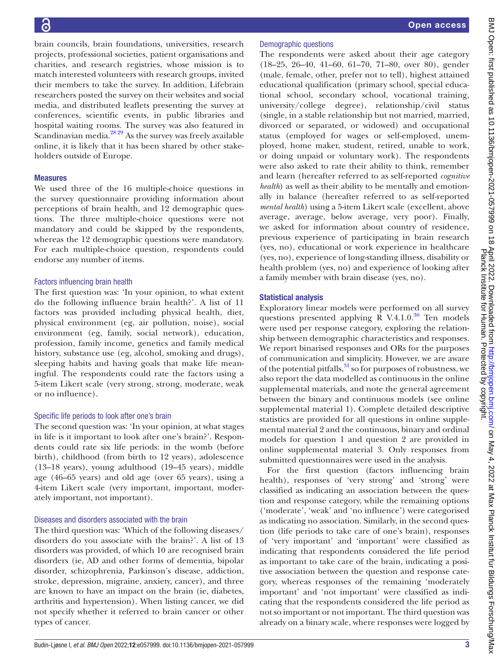Measures

brain councils, brain foundations, universities, research projects, professional societies, patient organisations and charities, and research registries, whose mission is to match interested volunteers with research groups, invited their members to take the survey. In addition, Lifebrain researchers posted the survey on their websites and social media, and distributed leaflets presenting the survey at conferences, scientific events, in public libraries and hospital waiting rooms. The survey was also featured in Scandinavian media.<sup>28</sup><sup>29</sup> As the survey was freely available online, it is likely that it has been shared by other stakeholders outside of Europe. We used three of the 16 multiple-choice questions in the survey questionnaire providing information about perceptions of brain health, and 12 demographic questions. The three multiple-choice questions were not mandatory and could be skipped by the respondents, whereas the 12 demographic questions were mandatory. For each multiple-choice question, respondents could endorse any number of items. Demographic questions

# Factors influencing brain health

The first question was: 'In your opinion, to what extent do the following influence brain health?'. A list of 11 factors was provided including physical health, diet, physical environment (eg, air pollution, noise), social environment (eg, family, social network), education, profession, family income, genetics and family medical history, substance use (eg, alcohol, smoking and drugs), sleeping habits and having goals that make life meaningful. The respondents could rate the factors using a 5-item Likert scale (very strong, strong, moderate, weak or no influence).

# Specific life periods to look after one's brain

The second question was: 'In your opinion, at what stages in life is it important to look after one's brain?'. Respondents could rate six life periods: in the womb (before birth), childhood (from birth to 12 years), adolescence (13–18 years), young adulthood (19–45 years), middle age (46–65 years) and old age (over 65 years), using a 4-item Likert scale (very important, important, moderately important, not important).

# Diseases and disorders associated with the brain

The third question was: 'Which of the following diseases/ disorders do you associate with the brain?'. A list of 13 disorders was provided, of which 10 are recognised brain disorders (ie, AD and other forms of dementia, bipolar disorder, schizophrenia, Parkinson's disease, addiction, stroke, depression, migraine, anxiety, cancer), and three are known to have an impact on the brain (ie, diabetes, arthritis and hypertension). When listing cancer, we did not specify whether it referred to brain cancer or other types of cancer.

The respondents were asked about their age category (18–25, 26–40, 41–60, 61–70, 71–80, over 80), gender (male, female, other, prefer not to tell), highest attained educational qualification (primary school, special educational school, secondary school, vocational training, university/college degree), relationship/civil status (single, in a stable relationship but not married, married, divorced or separated, or widowed) and occupational status (employed for wages or self-employed, unemployed, home maker, student, retired, unable to work, or doing unpaid or voluntary work). The respondents were also asked to rate their ability to think, remember and learn (hereafter referred to as self-reported *cognitive health*) as well as their ability to be mentally and emotionally in balance (hereafter referred to as self-reported *mental health*) using a 5-item Likert scale (excellent, above average, average, below average, very poor). Finally, we asked for information about country of residence, previous experience of participating in brain research (yes, no), educational or work experience in healthcare (yes, no), experience of long-standing illness, disability or health problem (yes, no) and experience of looking after a family member with brain disease (yes, no).

# Statistical analysis

Exploratory linear models were performed on all survey questions presented applying R V.4.1.0. $^{30}$  Ten models were used per response category, exploring the relationship between demographic characteristics and responses. We report binarised responses and ORs for the purposes of communication and simplicity. However, we are aware of the potential pitfalls,  $31$  so for purposes of robustness, we also report the data modelled as continuous in the online supplemental materials, and note the general agreement between the binary and continuous models (see [online](https://dx.doi.org/10.1136/bmjopen-2021-057999)  [supplemental material 1\)](https://dx.doi.org/10.1136/bmjopen-2021-057999). Complete detailed descriptive statistics are provided for all questions in [online supple](https://dx.doi.org/10.1136/bmjopen-2021-057999)[mental material 2](https://dx.doi.org/10.1136/bmjopen-2021-057999) and the continuous, binary and ordinal models for question 1 and question 2 are provided in [online supplemental material 3](https://dx.doi.org/10.1136/bmjopen-2021-057999). Only responses from submitted questionnaires were used in the analysis.

For the first question (factors influencing brain health), responses of 'very strong' and 'strong' were classified as indicating an association between the question and response category, while the remaining options ('moderate', 'weak' and 'no influence') were categorised as indicating no association. Similarly, in the second question (life periods to take care of one's brain), responses of 'very important' and 'important' were classified as indicating that respondents considered the life period as important to take care of the brain, indicating a positive association between the question and response category, whereas responses of the remaining 'moderately important' and 'not important' were classified as indicating that the respondents considered the life period as not so important or not important. The third question was already on a binary scale, where responses were logged by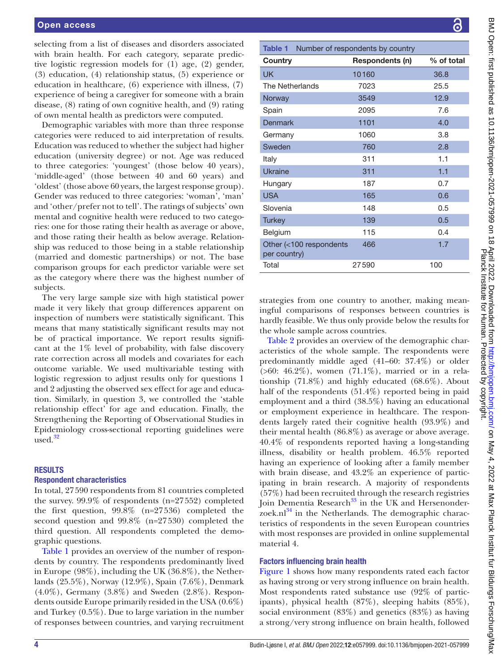selecting from a list of diseases and disorders associated with brain health. For each category, separate predictive logistic regression models for (1) age, (2) gender, (3) education, (4) relationship status, (5) experience or education in healthcare, (6) experience with illness, (7) experience of being a caregiver for someone with a brain disease, (8) rating of own cognitive health, and (9) rating of own mental health as predictors were computed.

Demographic variables with more than three response categories were reduced to aid interpretation of results. Education was reduced to whether the subject had higher education (university degree) or not. Age was reduced to three categories: 'youngest' (those below 40 years), 'middle-aged' (those between 40 and 60 years) and 'oldest' (those above 60 years, the largest response group). Gender was reduced to three categories: 'woman', 'man' and 'other/prefer not to tell'. The ratings of subjects' own mental and cognitive health were reduced to two categories: one for those rating their health as average or above, and those rating their health as below average. Relationship was reduced to those being in a stable relationship (married and domestic partnerships) or not. The base comparison groups for each predictor variable were set as the category where there was the highest number of subjects.

The very large sample size with high statistical power made it very likely that group differences apparent on inspection of numbers were statistically significant. This means that many statistically significant results may not be of practical importance. We report results significant at the 1% level of probability, with false discovery rate correction across all models and covariates for each outcome variable. We used multivariable testing with logistic regression to adjust results only for questions 1 and 2 adjusting the observed sex effect for age and education. Similarly, in question 3, we controlled the 'stable relationship effect' for age and education. Finally, the Strengthening the Reporting of Observational Studies in Epidemiology cross-sectional reporting guidelines were used. $32$ 

### RESULTS

#### Respondent characteristics

In total, 27590 respondents from 81 countries completed the survey. 99.9% of respondents (n=27552) completed the first question, 99.8% (n=27536) completed the second question and 99.8% (n=27530) completed the third question. All respondents completed the demographic questions.

[Table](#page-3-0) 1 provides an overview of the number of respondents by country. The respondents predominantly lived in Europe (98%), including the UK (36.8%), the Netherlands (25.5%), Norway (12.9%), Spain (7.6%), Denmark (4.0%), Germany (3.8%) and Sweden (2.8%). Respondents outside Europe primarily resided in the USA (0.6%) and Turkey (0.5%). Due to large variation in the number of responses between countries, and varying recruitment

<span id="page-3-0"></span>

| Table 1                                 | Number of respondents by country |            |
|-----------------------------------------|----------------------------------|------------|
| Country                                 | Respondents (n)                  | % of total |
| <b>UK</b>                               | 10160                            | 36.8       |
| The Netherlands                         | 7023                             | 25.5       |
| Norway                                  | 3549                             | 12.9       |
| Spain                                   | 2095                             | 7.6        |
| Denmark                                 | 1101                             | 4.0        |
| Germany                                 | 1060                             | 3.8        |
| Sweden                                  | 760                              | 2.8        |
| Italy                                   | 311                              | 1.1        |
| Ukraine                                 | 311                              | 1.1        |
| Hungary                                 | 187                              | 0.7        |
| <b>USA</b>                              | 165                              | 0.6        |
| Slovenia                                | 148                              | 0.5        |
| <b>Turkey</b>                           | 139                              | 0.5        |
| Belgium                                 | 115                              | 0.4        |
| Other (<100 respondents<br>per country) | 466                              | 1.7        |
| Total                                   | 27590                            | 100        |

strategies from one country to another, making meaningful comparisons of responses between countries is hardly feasible. We thus only provide below the results for the whole sample across countries.

[Table](#page-4-0) 2 provides an overview of the demographic characteristics of the whole sample. The respondents were predominantly middle aged (41–60: 37.4%) or older (>60: 46.2%), women (71.1%), married or in a relationship (71.8%) and highly educated (68.6%). About half of the respondents (51.4%) reported being in paid employment and a third (38.5%) having an educational or employment experience in healthcare. The respondents largely rated their cognitive health (93.9%) and their mental health (86.8%) as average or above average. 40.4% of respondents reported having a long-standing illness, disability or health problem. 46.5% reported having an experience of looking after a family member with brain disease, and 43.2% an experience of participating in brain research. A majority of respondents (57%) had been recruited through the research registries Join Dementia Research $33$  in the UK and Hersenonderzoek.nl $^{34}$  $^{34}$  $^{34}$  in the Netherlands. The demographic characteristics of respondents in the seven European countries with most responses are provided in [online supplemental](https://dx.doi.org/10.1136/bmjopen-2021-057999)  [material 4.](https://dx.doi.org/10.1136/bmjopen-2021-057999)

### Factors influencing brain health

[Figure](#page-5-0) 1 shows how many respondents rated each factor as having strong or very strong influence on brain health. Most respondents rated substance use (92% of participants), physical health (87%), sleeping habits (85%), social environment (83%) and genetics (83%) as having a strong/very strong influence on brain health, followed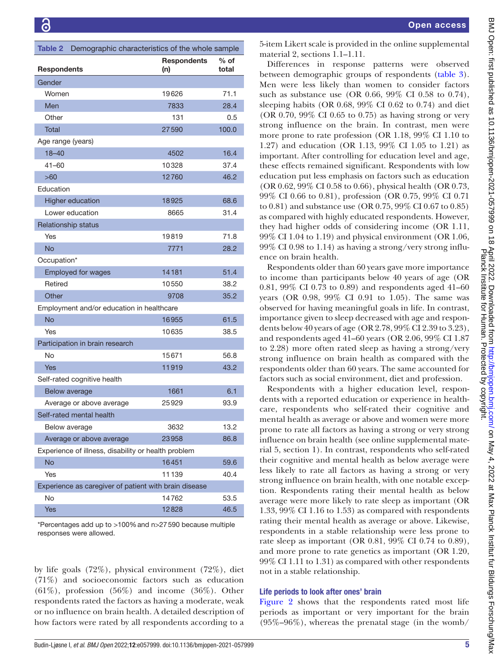<span id="page-4-0"></span>

| Demographic characteristics of the whole sample<br><b>Table 2</b> |                           |                 |  |  |  |  |  |
|-------------------------------------------------------------------|---------------------------|-----------------|--|--|--|--|--|
| <b>Respondents</b>                                                | <b>Respondents</b><br>(n) | $%$ of<br>total |  |  |  |  |  |
| Gender                                                            |                           |                 |  |  |  |  |  |
| Women                                                             | 19626                     | 71.1            |  |  |  |  |  |
| Men                                                               | 7833                      | 28.4            |  |  |  |  |  |
| Other                                                             | 131                       | 0.5             |  |  |  |  |  |
| <b>Total</b>                                                      | 27590                     | 100.0           |  |  |  |  |  |
| Age range (years)                                                 |                           |                 |  |  |  |  |  |
| $18 - 40$                                                         | 4502                      | 16.4            |  |  |  |  |  |
| 41–60                                                             | 10328                     | 37.4            |  |  |  |  |  |
| >60                                                               | 12760                     | 46.2            |  |  |  |  |  |
| Education                                                         |                           |                 |  |  |  |  |  |
| <b>Higher education</b>                                           | 18925                     | 68.6            |  |  |  |  |  |
| Lower education                                                   | 8665                      | 31.4            |  |  |  |  |  |
| <b>Relationship status</b>                                        |                           |                 |  |  |  |  |  |
| Yes                                                               | 19819                     | 71.8            |  |  |  |  |  |
| <b>No</b>                                                         | 7771                      | 28.2            |  |  |  |  |  |
| Occupation*                                                       |                           |                 |  |  |  |  |  |
| <b>Employed for wages</b>                                         | 14181                     | 51.4            |  |  |  |  |  |
| Retired                                                           | 10550                     | 38.2            |  |  |  |  |  |
| Other                                                             | 9708                      | 35.2            |  |  |  |  |  |
| Employment and/or education in healthcare                         |                           |                 |  |  |  |  |  |
| <b>No</b>                                                         | 16955                     | 61.5            |  |  |  |  |  |
| Yes                                                               | 10635                     | 38.5            |  |  |  |  |  |
| Participation in brain research                                   |                           |                 |  |  |  |  |  |
| No                                                                | 15671                     | 56.8            |  |  |  |  |  |
| <b>Yes</b>                                                        | 11919                     | 43.2            |  |  |  |  |  |
| Self-rated cognitive health                                       |                           |                 |  |  |  |  |  |
| Below average                                                     | 1661                      | 6.1             |  |  |  |  |  |
| Average or above average                                          | 25929                     | 93.9            |  |  |  |  |  |
| Self-rated mental health                                          |                           |                 |  |  |  |  |  |
| Below average                                                     | 3632                      | 13.2            |  |  |  |  |  |
| Average or above average                                          | 23958                     | 86.8            |  |  |  |  |  |
| Experience of illness, disability or health problem               |                           |                 |  |  |  |  |  |
| No                                                                | 16451                     | 59.6            |  |  |  |  |  |
| Yes                                                               | 11139                     | 40.4            |  |  |  |  |  |
| Experience as caregiver of patient with brain disease             |                           |                 |  |  |  |  |  |
| No                                                                | 14762                     | 53.5            |  |  |  |  |  |
| <b>Yes</b>                                                        | 12828                     | 46.5            |  |  |  |  |  |

\*Percentages add up to >100%and n>27590 because multiple responses were allowed.

by life goals (72%), physical environment (72%), diet (71%) and socioeconomic factors such as education  $(61\%)$ , profession  $(56\%)$  and income  $(36\%)$ . Other respondents rated the factors as having a moderate, weak or no influence on brain health. A detailed description of how factors were rated by all respondents according to a

5-item Likert scale is provided in the [online supplemental](https://dx.doi.org/10.1136/bmjopen-2021-057999)  [material 2,](https://dx.doi.org/10.1136/bmjopen-2021-057999) sections 1.1–1.11.

Differences in response patterns were observed between demographic groups of respondents [\(table](#page-6-0) 3). Men were less likely than women to consider factors such as substance use (OR 0.66, 99% CI 0.58 to 0.74), sleeping habits (OR 0.68, 99% CI 0.62 to 0.74) and diet (OR 0.70, 99% CI 0.65 to 0.75) as having strong or very strong influence on the brain. In contrast, men were more prone to rate profession (OR 1.18, 99% CI 1.10 to 1.27) and education (OR 1.13, 99% CI 1.05 to 1.21) as important. After controlling for education level and age, these effects remained significant. Respondents with low education put less emphasis on factors such as education (OR 0.62, 99% CI 0.58 to 0.66), physical health (OR 0.73, 99% CI 0.66 to 0.81), profession (OR 0.75, 99% CI 0.71 to 0.81) and substance use (OR 0.75, 99% CI 0.67 to 0.85) as compared with highly educated respondents. However, they had higher odds of considering income (OR 1.11, 99% CI 1.04 to 1.19) and physical environment (OR 1.06, 99% CI 0.98 to 1.14) as having a strong/very strong influence on brain health.

Respondents older than 60 years gave more importance to income than participants below 40 years of age (OR 0.81, 99% CI 0.73 to 0.89) and respondents aged 41–60 years (OR 0.98, 99% CI 0.91 to 1.05). The same was observed for having meaningful goals in life. In contrast, importance given to sleep decreased with age and respondents below 40 years of age (OR 2.78, 99% CI 2.39 to 3.23), and respondents aged 41–60 years (OR 2.06, 99% CI 1.87 to 2.28) more often rated sleep as having a strong/very strong influence on brain health as compared with the respondents older than 60 years. The same accounted for factors such as social environment, diet and profession.

Respondents with a higher education level, respondents with a reported education or experience in healthcare, respondents who self-rated their cognitive and mental health as average or above and women were more prone to rate all factors as having a strong or very strong influence on brain health (see [online supplemental mate](https://dx.doi.org/10.1136/bmjopen-2021-057999)[rial 5](https://dx.doi.org/10.1136/bmjopen-2021-057999), section 1). In contrast, respondents who self-rated their cognitive and mental health as below average were less likely to rate all factors as having a strong or very strong influence on brain health, with one notable exception. Respondents rating their mental health as below average were more likely to rate sleep as important (OR 1.33, 99% CI 1.16 to 1.53) as compared with respondents rating their mental health as average or above. Likewise, respondents in a stable relationship were less prone to rate sleep as important (OR 0.81, 99% CI 0.74 to 0.89), and more prone to rate genetics as important (OR 1.20, 99% CI 1.11 to 1.31) as compared with other respondents not in a stable relationship.

### Life periods to look after ones' brain

[Figure](#page-8-0) 2 shows that the respondents rated most life periods as important or very important for the brain (95%–96%), whereas the prenatal stage (in the womb/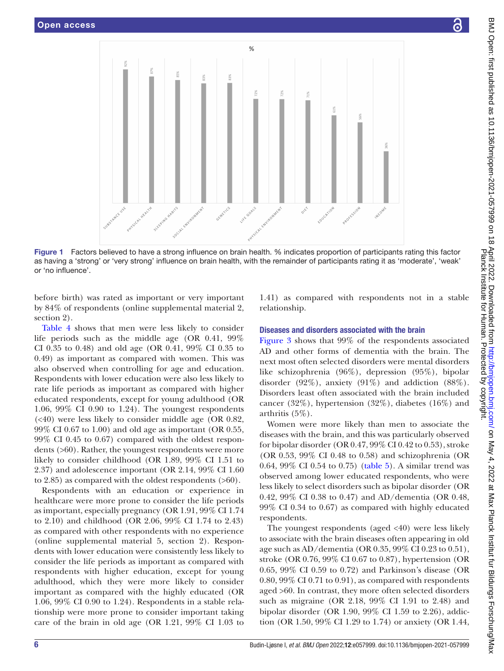

Figure 1 Factors believed to have a strong influence on brain health. % indicates proportion of participants rating this factor as having a 'strong' or 'very strong' influence on brain health, with the remainder of participants rating it as 'moderate', 'weak' or 'no influence'.

before birth) was rated as important or very important by 84% of respondents [\(online supplemental material 2,](https://dx.doi.org/10.1136/bmjopen-2021-057999) section 2).

[Table](#page-8-1) 4 shows that men were less likely to consider life periods such as the middle age (OR 0.41, 99% CI 0.35 to 0.48) and old age (OR 0.41, 99% CI 0.35 to 0.49) as important as compared with women. This was also observed when controlling for age and education. Respondents with lower education were also less likely to rate life periods as important as compared with higher educated respondents, except for young adulthood (OR 1.06, 99% CI 0.90 to 1.24). The youngest respondents (<40) were less likely to consider middle age (OR 0.82, 99% CI 0.67 to 1.00) and old age as important (OR 0.55, 99% CI 0.45 to 0.67) compared with the oldest respondents (>60). Rather, the youngest respondents were more likely to consider childhood (OR 1.89, 99% CI 1.51 to 2.37) and adolescence important (OR 2.14, 99% CI 1.60 to 2.85) as compared with the oldest respondents (>60).

Respondents with an education or experience in healthcare were more prone to consider the life periods as important, especially pregnancy (OR 1.91, 99% CI 1.74 to 2.10) and childhood (OR 2.06, 99% CI 1.74 to 2.43) as compared with other respondents with no experience ([online supplemental material 5,](https://dx.doi.org/10.1136/bmjopen-2021-057999) section 2). Respondents with lower education were consistently less likely to consider the life periods as important as compared with respondents with higher education, except for young adulthood, which they were more likely to consider important as compared with the highly educated (OR 1.06, 99% CI 0.90 to 1.24). Respondents in a stable relationship were more prone to consider important taking care of the brain in old age (OR 1.21, 99% CI 1.03 to

<span id="page-5-0"></span>1.41) as compared with respondents not in a stable relationship.

#### Diseases and disorders associated with the brain

[Figure](#page-9-0) 3 shows that 99% of the respondents associated AD and other forms of dementia with the brain. The next most often selected disorders were mental disorders like schizophrenia (96%), depression (95%), bipolar disorder (92%), anxiety (91%) and addiction (88%). Disorders least often associated with the brain included cancer (32%), hypertension (32%), diabetes (16%) and arthritis (5%).

Women were more likely than men to associate the diseases with the brain, and this was particularly observed for bipolar disorder (OR 0.47, 99% CI 0.42 to 0.53), stroke (OR 0.53, 99% CI 0.48 to 0.58) and schizophrenia (OR 0.64, 99% CI 0.54 to 0.75) ([table](#page-10-0) 5). A similar trend was observed among lower educated respondents, who were less likely to select disorders such as bipolar disorder (OR 0.42, 99% CI 0.38 to 0.47) and AD/dementia (OR 0.48, 99% CI 0.34 to 0.67) as compared with highly educated respondents.

The youngest respondents (aged <40) were less likely to associate with the brain diseases often appearing in old age such as AD/dementia (OR 0.35, 99% CI 0.23 to 0.51), stroke (OR 0.76, 99% CI 0.67 to 0.87), hypertension (OR 0.65, 99% CI 0.59 to 0.72) and Parkinson's disease (OR 0.80, 99% CI 0.71 to 0.91), as compared with respondents aged >60. In contrast, they more often selected disorders such as migraine (OR 2.18, 99% CI 1.91 to 2.48) and bipolar disorder (OR 1.90, 99% CI 1.59 to 2.26), addiction (OR 1.50, 99% CI 1.29 to 1.74) or anxiety (OR 1.44,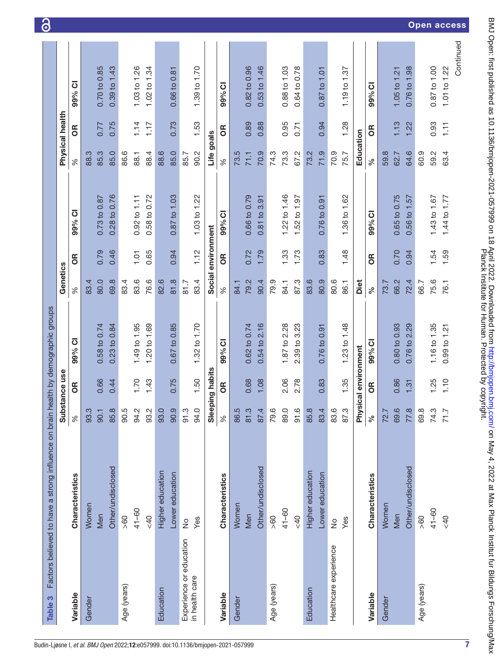<span id="page-6-0"></span>

| 0.70 to 0.85<br>0.82 to 0.96<br>0.53 to 1.46<br>0.87 to 1.00<br>$0.39$ to $1.43$<br>1.03 to 1.26<br>1.02 to 1.34<br>0.88 to 1.03<br>0.64 to 0.78<br>0.76 to 1.98<br>1.01 to 1.22<br>1.39 to 1.70<br>0.87 to 1.01<br>1.19 to 1.37<br>0.66 to 0.81<br>1.05 to 1.21<br>99% CI<br>99% CI<br>99% CI<br>Physical health<br>0.75<br>0.73<br>0.89<br>0.95<br>1.13<br>0.93<br>1.14<br>1.17<br>1.53<br>0.88<br>0.94<br>1.28<br>1.22<br>777<br>$\overline{111}$<br>0.71<br>6R<br>6R<br>6R<br>Education<br>Life goals<br>85.0<br>85.0<br>90.2<br>71.9<br>64.6<br>59.2<br>63.4<br>85.3<br>86.6<br>88.4<br>70.9<br>73.3<br>67.2<br>70.9<br>75.7<br>60.9<br>88.3<br>88.6<br>85.7<br>73.5<br>74.3<br>73.2<br>59.8<br>62.7<br>88.1<br>71.1<br>$\%$<br>್ನೇ<br>$\%$<br>0.28 to 0.76<br>0.58 to 0.72<br>0.87 to 1.03<br>0.66 to 0.79<br>1.22 to 1.46<br>0.65 to 0.75<br>0.73 to 0.87<br>1.03 to 1.22<br>0.81 to 3.91<br>1.52 to 1.97<br>1.36 to 1.62<br>0.56 to 1.57<br>1.44 to 1.77<br>$0.92$ to $1.11$<br>0.76 to 0.91<br>1.43 to 1.67<br>99% CI<br>99% CI<br>99% CI<br>Social environment<br>0.46<br>1.59<br>0.79<br>0.65<br>0.94<br>1.12<br>0.72<br>1.79<br>1.73<br>0.70<br>1.54<br>1.33<br>0.83<br>1.48<br>0.94<br>1.01<br>6R<br>6R<br>6R<br>Genetics<br>81.8<br>80.0<br>69.8<br>83.6<br>76.6<br>83.4<br>90.4<br>80.9<br>80.6<br>66.2<br>75.6<br>83.4<br>82.6<br>79.2<br>79.9<br>87.3<br>83.6<br>72.4<br>83.4<br>81.7<br>Diet<br>66.7<br>76.1<br>84.1<br>86.1<br>73.7<br>84.1<br>್ನೇ<br>$\%$<br>$\%$<br>1.20 to 1.69<br>0.67 to 0.85<br>0.54 to 2.16<br>0.80 to 0.93<br>0.76 to 2.29<br>1.16 to 1.35<br>0.58 to 0.74<br>$0.23$ to $0.84$<br>1.49 to 1.95<br>0.62 to 0.74<br>1.87 to 2.28<br>2.39 to 3.23<br>1.23 to 1.48<br>1.32 to 1.70<br>$0.99$ to $1.21$<br>0.76 to 0.91<br>99% CI<br>99% CI<br>99% CI<br>Physical environment<br>Sleeping habits<br>Substance use<br>1.50<br>0.75<br>0.83<br>1.35<br>0.86<br>1.10<br>0.66<br>1.70<br>0.68<br>1.08<br>2.06<br>2.78<br>1.25<br>0.44<br>1.43<br>1.31<br>6R<br>6R<br>6R<br>$\ddot{\circ}$<br>က္<br>$\infty$<br>r.<br>Ņ<br><u>ာ့</u><br>က္<br>က္<br>$\overline{4}$<br>$\ddot{\circ}$<br>Q<br>ِ<br>85.8<br>$\overline{4}$<br>$\frac{6}{1}$<br>$\ddot{\circ}$<br>$\infty$<br>œ.<br><u>က္</u><br>$\alpha$<br>93.0<br>r.<br>r.<br>က္<br>Ņ.<br>⊤.<br>$\%$<br>္တ<br>8<br>85<br>8<br>34<br>ဘွ<br>$8^{\circ}$<br>$\overline{\circ}$<br>24<br>$\%$<br>86<br>$\overline{\circ}$<br>87<br>6۷<br>89<br>$\overline{5}$<br>83<br>ಙ<br>87<br>వ<br>$\overline{z}$<br>69<br>$\overline{7}$<br>89<br>$\overline{z}$<br>$\overline{r}$<br>Other/undisclosed<br>Other/undisclosed<br>Other/undisclosed<br>Higher education<br>Higher education<br>Lower education<br>Lower education<br>Characteristics<br>Characteristics<br>Characteristics<br>Women<br>Women<br>Women<br>$41 - 60$<br>$41 - 60$<br>$41 - 60$<br>Men<br>Men<br>Men<br>$rac{40}{5}$<br>$rac{40}{5}$<br>40<br>60<br>$\frac{8}{3}$<br>$\frac{8}{60}$<br>Yes<br>Yes<br>$\frac{1}{2}$<br>$\frac{1}{2}$<br>Experience or education<br>Healthcare experience<br>in health care<br>Age (years)<br>Age (years)<br>Age (years)<br>Education<br>Education<br>Variable<br>Variable<br>Variable<br>Gender<br>Gender<br>Gender | Factors believed to have a strong influence on brain health by demographic groups<br>Table 3 |  |  |  |  |  |
|-------------------------------------------------------------------------------------------------------------------------------------------------------------------------------------------------------------------------------------------------------------------------------------------------------------------------------------------------------------------------------------------------------------------------------------------------------------------------------------------------------------------------------------------------------------------------------------------------------------------------------------------------------------------------------------------------------------------------------------------------------------------------------------------------------------------------------------------------------------------------------------------------------------------------------------------------------------------------------------------------------------------------------------------------------------------------------------------------------------------------------------------------------------------------------------------------------------------------------------------------------------------------------------------------------------------------------------------------------------------------------------------------------------------------------------------------------------------------------------------------------------------------------------------------------------------------------------------------------------------------------------------------------------------------------------------------------------------------------------------------------------------------------------------------------------------------------------------------------------------------------------------------------------------------------------------------------------------------------------------------------------------------------------------------------------------------------------------------------------------------------------------------------------------------------------------------------------------------------------------------------------------------------------------------------------------------------------------------------------------------------------------------------------------------------------------------------------------------------------------------------------------------------------------------------------------------------------------------------------------------------------------------------------------------------------------------------------------------------------------------------------------------------------------------------------------------------------------------------------------------------------------------------------------------------------------------------------------------------------------------------------------------------------------------------------------------------------------------------------------------------------------------------------------------------------------------|----------------------------------------------------------------------------------------------|--|--|--|--|--|
|                                                                                                                                                                                                                                                                                                                                                                                                                                                                                                                                                                                                                                                                                                                                                                                                                                                                                                                                                                                                                                                                                                                                                                                                                                                                                                                                                                                                                                                                                                                                                                                                                                                                                                                                                                                                                                                                                                                                                                                                                                                                                                                                                                                                                                                                                                                                                                                                                                                                                                                                                                                                                                                                                                                                                                                                                                                                                                                                                                                                                                                                                                                                                                                                 |                                                                                              |  |  |  |  |  |
|                                                                                                                                                                                                                                                                                                                                                                                                                                                                                                                                                                                                                                                                                                                                                                                                                                                                                                                                                                                                                                                                                                                                                                                                                                                                                                                                                                                                                                                                                                                                                                                                                                                                                                                                                                                                                                                                                                                                                                                                                                                                                                                                                                                                                                                                                                                                                                                                                                                                                                                                                                                                                                                                                                                                                                                                                                                                                                                                                                                                                                                                                                                                                                                                 |                                                                                              |  |  |  |  |  |
|                                                                                                                                                                                                                                                                                                                                                                                                                                                                                                                                                                                                                                                                                                                                                                                                                                                                                                                                                                                                                                                                                                                                                                                                                                                                                                                                                                                                                                                                                                                                                                                                                                                                                                                                                                                                                                                                                                                                                                                                                                                                                                                                                                                                                                                                                                                                                                                                                                                                                                                                                                                                                                                                                                                                                                                                                                                                                                                                                                                                                                                                                                                                                                                                 |                                                                                              |  |  |  |  |  |
|                                                                                                                                                                                                                                                                                                                                                                                                                                                                                                                                                                                                                                                                                                                                                                                                                                                                                                                                                                                                                                                                                                                                                                                                                                                                                                                                                                                                                                                                                                                                                                                                                                                                                                                                                                                                                                                                                                                                                                                                                                                                                                                                                                                                                                                                                                                                                                                                                                                                                                                                                                                                                                                                                                                                                                                                                                                                                                                                                                                                                                                                                                                                                                                                 |                                                                                              |  |  |  |  |  |
|                                                                                                                                                                                                                                                                                                                                                                                                                                                                                                                                                                                                                                                                                                                                                                                                                                                                                                                                                                                                                                                                                                                                                                                                                                                                                                                                                                                                                                                                                                                                                                                                                                                                                                                                                                                                                                                                                                                                                                                                                                                                                                                                                                                                                                                                                                                                                                                                                                                                                                                                                                                                                                                                                                                                                                                                                                                                                                                                                                                                                                                                                                                                                                                                 |                                                                                              |  |  |  |  |  |
|                                                                                                                                                                                                                                                                                                                                                                                                                                                                                                                                                                                                                                                                                                                                                                                                                                                                                                                                                                                                                                                                                                                                                                                                                                                                                                                                                                                                                                                                                                                                                                                                                                                                                                                                                                                                                                                                                                                                                                                                                                                                                                                                                                                                                                                                                                                                                                                                                                                                                                                                                                                                                                                                                                                                                                                                                                                                                                                                                                                                                                                                                                                                                                                                 |                                                                                              |  |  |  |  |  |
|                                                                                                                                                                                                                                                                                                                                                                                                                                                                                                                                                                                                                                                                                                                                                                                                                                                                                                                                                                                                                                                                                                                                                                                                                                                                                                                                                                                                                                                                                                                                                                                                                                                                                                                                                                                                                                                                                                                                                                                                                                                                                                                                                                                                                                                                                                                                                                                                                                                                                                                                                                                                                                                                                                                                                                                                                                                                                                                                                                                                                                                                                                                                                                                                 |                                                                                              |  |  |  |  |  |
|                                                                                                                                                                                                                                                                                                                                                                                                                                                                                                                                                                                                                                                                                                                                                                                                                                                                                                                                                                                                                                                                                                                                                                                                                                                                                                                                                                                                                                                                                                                                                                                                                                                                                                                                                                                                                                                                                                                                                                                                                                                                                                                                                                                                                                                                                                                                                                                                                                                                                                                                                                                                                                                                                                                                                                                                                                                                                                                                                                                                                                                                                                                                                                                                 |                                                                                              |  |  |  |  |  |
|                                                                                                                                                                                                                                                                                                                                                                                                                                                                                                                                                                                                                                                                                                                                                                                                                                                                                                                                                                                                                                                                                                                                                                                                                                                                                                                                                                                                                                                                                                                                                                                                                                                                                                                                                                                                                                                                                                                                                                                                                                                                                                                                                                                                                                                                                                                                                                                                                                                                                                                                                                                                                                                                                                                                                                                                                                                                                                                                                                                                                                                                                                                                                                                                 |                                                                                              |  |  |  |  |  |
|                                                                                                                                                                                                                                                                                                                                                                                                                                                                                                                                                                                                                                                                                                                                                                                                                                                                                                                                                                                                                                                                                                                                                                                                                                                                                                                                                                                                                                                                                                                                                                                                                                                                                                                                                                                                                                                                                                                                                                                                                                                                                                                                                                                                                                                                                                                                                                                                                                                                                                                                                                                                                                                                                                                                                                                                                                                                                                                                                                                                                                                                                                                                                                                                 |                                                                                              |  |  |  |  |  |
|                                                                                                                                                                                                                                                                                                                                                                                                                                                                                                                                                                                                                                                                                                                                                                                                                                                                                                                                                                                                                                                                                                                                                                                                                                                                                                                                                                                                                                                                                                                                                                                                                                                                                                                                                                                                                                                                                                                                                                                                                                                                                                                                                                                                                                                                                                                                                                                                                                                                                                                                                                                                                                                                                                                                                                                                                                                                                                                                                                                                                                                                                                                                                                                                 |                                                                                              |  |  |  |  |  |
|                                                                                                                                                                                                                                                                                                                                                                                                                                                                                                                                                                                                                                                                                                                                                                                                                                                                                                                                                                                                                                                                                                                                                                                                                                                                                                                                                                                                                                                                                                                                                                                                                                                                                                                                                                                                                                                                                                                                                                                                                                                                                                                                                                                                                                                                                                                                                                                                                                                                                                                                                                                                                                                                                                                                                                                                                                                                                                                                                                                                                                                                                                                                                                                                 |                                                                                              |  |  |  |  |  |
|                                                                                                                                                                                                                                                                                                                                                                                                                                                                                                                                                                                                                                                                                                                                                                                                                                                                                                                                                                                                                                                                                                                                                                                                                                                                                                                                                                                                                                                                                                                                                                                                                                                                                                                                                                                                                                                                                                                                                                                                                                                                                                                                                                                                                                                                                                                                                                                                                                                                                                                                                                                                                                                                                                                                                                                                                                                                                                                                                                                                                                                                                                                                                                                                 |                                                                                              |  |  |  |  |  |
|                                                                                                                                                                                                                                                                                                                                                                                                                                                                                                                                                                                                                                                                                                                                                                                                                                                                                                                                                                                                                                                                                                                                                                                                                                                                                                                                                                                                                                                                                                                                                                                                                                                                                                                                                                                                                                                                                                                                                                                                                                                                                                                                                                                                                                                                                                                                                                                                                                                                                                                                                                                                                                                                                                                                                                                                                                                                                                                                                                                                                                                                                                                                                                                                 |                                                                                              |  |  |  |  |  |
|                                                                                                                                                                                                                                                                                                                                                                                                                                                                                                                                                                                                                                                                                                                                                                                                                                                                                                                                                                                                                                                                                                                                                                                                                                                                                                                                                                                                                                                                                                                                                                                                                                                                                                                                                                                                                                                                                                                                                                                                                                                                                                                                                                                                                                                                                                                                                                                                                                                                                                                                                                                                                                                                                                                                                                                                                                                                                                                                                                                                                                                                                                                                                                                                 |                                                                                              |  |  |  |  |  |
|                                                                                                                                                                                                                                                                                                                                                                                                                                                                                                                                                                                                                                                                                                                                                                                                                                                                                                                                                                                                                                                                                                                                                                                                                                                                                                                                                                                                                                                                                                                                                                                                                                                                                                                                                                                                                                                                                                                                                                                                                                                                                                                                                                                                                                                                                                                                                                                                                                                                                                                                                                                                                                                                                                                                                                                                                                                                                                                                                                                                                                                                                                                                                                                                 |                                                                                              |  |  |  |  |  |
|                                                                                                                                                                                                                                                                                                                                                                                                                                                                                                                                                                                                                                                                                                                                                                                                                                                                                                                                                                                                                                                                                                                                                                                                                                                                                                                                                                                                                                                                                                                                                                                                                                                                                                                                                                                                                                                                                                                                                                                                                                                                                                                                                                                                                                                                                                                                                                                                                                                                                                                                                                                                                                                                                                                                                                                                                                                                                                                                                                                                                                                                                                                                                                                                 |                                                                                              |  |  |  |  |  |
|                                                                                                                                                                                                                                                                                                                                                                                                                                                                                                                                                                                                                                                                                                                                                                                                                                                                                                                                                                                                                                                                                                                                                                                                                                                                                                                                                                                                                                                                                                                                                                                                                                                                                                                                                                                                                                                                                                                                                                                                                                                                                                                                                                                                                                                                                                                                                                                                                                                                                                                                                                                                                                                                                                                                                                                                                                                                                                                                                                                                                                                                                                                                                                                                 |                                                                                              |  |  |  |  |  |
|                                                                                                                                                                                                                                                                                                                                                                                                                                                                                                                                                                                                                                                                                                                                                                                                                                                                                                                                                                                                                                                                                                                                                                                                                                                                                                                                                                                                                                                                                                                                                                                                                                                                                                                                                                                                                                                                                                                                                                                                                                                                                                                                                                                                                                                                                                                                                                                                                                                                                                                                                                                                                                                                                                                                                                                                                                                                                                                                                                                                                                                                                                                                                                                                 |                                                                                              |  |  |  |  |  |
|                                                                                                                                                                                                                                                                                                                                                                                                                                                                                                                                                                                                                                                                                                                                                                                                                                                                                                                                                                                                                                                                                                                                                                                                                                                                                                                                                                                                                                                                                                                                                                                                                                                                                                                                                                                                                                                                                                                                                                                                                                                                                                                                                                                                                                                                                                                                                                                                                                                                                                                                                                                                                                                                                                                                                                                                                                                                                                                                                                                                                                                                                                                                                                                                 |                                                                                              |  |  |  |  |  |
|                                                                                                                                                                                                                                                                                                                                                                                                                                                                                                                                                                                                                                                                                                                                                                                                                                                                                                                                                                                                                                                                                                                                                                                                                                                                                                                                                                                                                                                                                                                                                                                                                                                                                                                                                                                                                                                                                                                                                                                                                                                                                                                                                                                                                                                                                                                                                                                                                                                                                                                                                                                                                                                                                                                                                                                                                                                                                                                                                                                                                                                                                                                                                                                                 |                                                                                              |  |  |  |  |  |
|                                                                                                                                                                                                                                                                                                                                                                                                                                                                                                                                                                                                                                                                                                                                                                                                                                                                                                                                                                                                                                                                                                                                                                                                                                                                                                                                                                                                                                                                                                                                                                                                                                                                                                                                                                                                                                                                                                                                                                                                                                                                                                                                                                                                                                                                                                                                                                                                                                                                                                                                                                                                                                                                                                                                                                                                                                                                                                                                                                                                                                                                                                                                                                                                 |                                                                                              |  |  |  |  |  |
|                                                                                                                                                                                                                                                                                                                                                                                                                                                                                                                                                                                                                                                                                                                                                                                                                                                                                                                                                                                                                                                                                                                                                                                                                                                                                                                                                                                                                                                                                                                                                                                                                                                                                                                                                                                                                                                                                                                                                                                                                                                                                                                                                                                                                                                                                                                                                                                                                                                                                                                                                                                                                                                                                                                                                                                                                                                                                                                                                                                                                                                                                                                                                                                                 |                                                                                              |  |  |  |  |  |
|                                                                                                                                                                                                                                                                                                                                                                                                                                                                                                                                                                                                                                                                                                                                                                                                                                                                                                                                                                                                                                                                                                                                                                                                                                                                                                                                                                                                                                                                                                                                                                                                                                                                                                                                                                                                                                                                                                                                                                                                                                                                                                                                                                                                                                                                                                                                                                                                                                                                                                                                                                                                                                                                                                                                                                                                                                                                                                                                                                                                                                                                                                                                                                                                 |                                                                                              |  |  |  |  |  |
|                                                                                                                                                                                                                                                                                                                                                                                                                                                                                                                                                                                                                                                                                                                                                                                                                                                                                                                                                                                                                                                                                                                                                                                                                                                                                                                                                                                                                                                                                                                                                                                                                                                                                                                                                                                                                                                                                                                                                                                                                                                                                                                                                                                                                                                                                                                                                                                                                                                                                                                                                                                                                                                                                                                                                                                                                                                                                                                                                                                                                                                                                                                                                                                                 |                                                                                              |  |  |  |  |  |
|                                                                                                                                                                                                                                                                                                                                                                                                                                                                                                                                                                                                                                                                                                                                                                                                                                                                                                                                                                                                                                                                                                                                                                                                                                                                                                                                                                                                                                                                                                                                                                                                                                                                                                                                                                                                                                                                                                                                                                                                                                                                                                                                                                                                                                                                                                                                                                                                                                                                                                                                                                                                                                                                                                                                                                                                                                                                                                                                                                                                                                                                                                                                                                                                 |                                                                                              |  |  |  |  |  |
|                                                                                                                                                                                                                                                                                                                                                                                                                                                                                                                                                                                                                                                                                                                                                                                                                                                                                                                                                                                                                                                                                                                                                                                                                                                                                                                                                                                                                                                                                                                                                                                                                                                                                                                                                                                                                                                                                                                                                                                                                                                                                                                                                                                                                                                                                                                                                                                                                                                                                                                                                                                                                                                                                                                                                                                                                                                                                                                                                                                                                                                                                                                                                                                                 |                                                                                              |  |  |  |  |  |
|                                                                                                                                                                                                                                                                                                                                                                                                                                                                                                                                                                                                                                                                                                                                                                                                                                                                                                                                                                                                                                                                                                                                                                                                                                                                                                                                                                                                                                                                                                                                                                                                                                                                                                                                                                                                                                                                                                                                                                                                                                                                                                                                                                                                                                                                                                                                                                                                                                                                                                                                                                                                                                                                                                                                                                                                                                                                                                                                                                                                                                                                                                                                                                                                 |                                                                                              |  |  |  |  |  |
|                                                                                                                                                                                                                                                                                                                                                                                                                                                                                                                                                                                                                                                                                                                                                                                                                                                                                                                                                                                                                                                                                                                                                                                                                                                                                                                                                                                                                                                                                                                                                                                                                                                                                                                                                                                                                                                                                                                                                                                                                                                                                                                                                                                                                                                                                                                                                                                                                                                                                                                                                                                                                                                                                                                                                                                                                                                                                                                                                                                                                                                                                                                                                                                                 |                                                                                              |  |  |  |  |  |
|                                                                                                                                                                                                                                                                                                                                                                                                                                                                                                                                                                                                                                                                                                                                                                                                                                                                                                                                                                                                                                                                                                                                                                                                                                                                                                                                                                                                                                                                                                                                                                                                                                                                                                                                                                                                                                                                                                                                                                                                                                                                                                                                                                                                                                                                                                                                                                                                                                                                                                                                                                                                                                                                                                                                                                                                                                                                                                                                                                                                                                                                                                                                                                                                 |                                                                                              |  |  |  |  |  |
|                                                                                                                                                                                                                                                                                                                                                                                                                                                                                                                                                                                                                                                                                                                                                                                                                                                                                                                                                                                                                                                                                                                                                                                                                                                                                                                                                                                                                                                                                                                                                                                                                                                                                                                                                                                                                                                                                                                                                                                                                                                                                                                                                                                                                                                                                                                                                                                                                                                                                                                                                                                                                                                                                                                                                                                                                                                                                                                                                                                                                                                                                                                                                                                                 |                                                                                              |  |  |  |  |  |
|                                                                                                                                                                                                                                                                                                                                                                                                                                                                                                                                                                                                                                                                                                                                                                                                                                                                                                                                                                                                                                                                                                                                                                                                                                                                                                                                                                                                                                                                                                                                                                                                                                                                                                                                                                                                                                                                                                                                                                                                                                                                                                                                                                                                                                                                                                                                                                                                                                                                                                                                                                                                                                                                                                                                                                                                                                                                                                                                                                                                                                                                                                                                                                                                 |                                                                                              |  |  |  |  |  |

Open access

6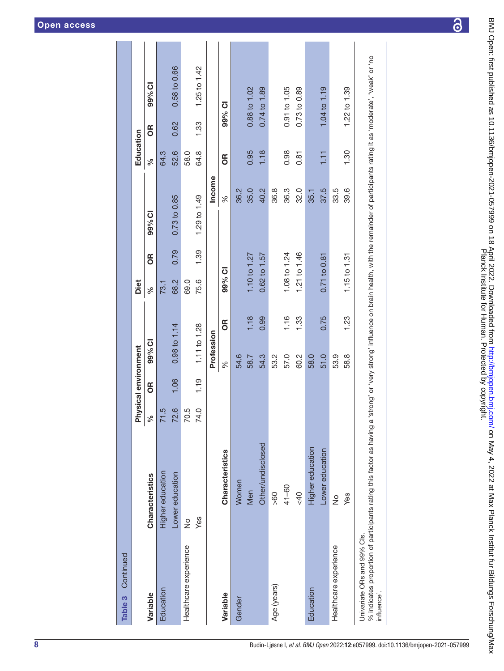| Table 3 Continued                                 |                            |      |                      |              |      |                  |               |                                                                                                                            |                  |        |              |
|---------------------------------------------------|----------------------------|------|----------------------|--------------|------|------------------|---------------|----------------------------------------------------------------------------------------------------------------------------|------------------|--------|--------------|
|                                                   |                            |      | Physical environment |              |      | Diet             |               |                                                                                                                            | Education        |        |              |
| Variable                                          | Characteristics            | ್ಧ   | 6R                   | 99% CI       |      | ್ನೇ              | $\frac{1}{2}$ | 99% CI                                                                                                                     | వ్               | õ      | 99% CI       |
| Education                                         | Higher education           | 71.5 |                      |              |      | 73.1             |               |                                                                                                                            | 64.3             |        |              |
|                                                   | Lower education            | 72.6 | 1.06                 | 0.98 to 1.14 |      | 68.2             | 0.79          | 0.73 to 0.85                                                                                                               | 52.6             | 0.62   | 0.58 to 0.66 |
| Healthcare experience                             | ž                          | 70.5 |                      |              |      | 69.0             |               |                                                                                                                            | 58.0             |        |              |
|                                                   | Yes                        | 74.0 | 1.19                 | 1.11 to 1.28 |      | 75.6             | 1.39          | 1.29 to 1.49                                                                                                               | 64.8             | 1.33   | 1.25 to 1.42 |
|                                                   |                            |      |                      | Profession   |      |                  |               | Income                                                                                                                     |                  |        |              |
| Variable                                          | <b>Characteristics</b>     |      |                      | $\%$         | ЭŘ   | <b>ID %66</b>    |               | $\%$                                                                                                                       | ЭŘ               | 99% CI |              |
| Gender                                            | Women                      |      |                      | 54.6         |      |                  |               | 36.2                                                                                                                       |                  |        |              |
|                                                   | Men                        |      |                      | 58.7         | 1.18 | 1.10 to 1.27     |               | 35.0                                                                                                                       | 0.95             |        | 0.88 to 1.02 |
|                                                   | Other/undisclosed          |      |                      | 54.3         | 0.99 | $0.62$ to 1.57   |               | 40.2                                                                                                                       | 1.18             |        | 0.74 to 1.89 |
| Age (years)                                       | > 60                       |      |                      | 53.2         |      |                  |               | 36.8                                                                                                                       |                  |        |              |
|                                                   | $41 - 60$                  |      |                      | 57.0         | 1.16 | 1.08 to 1.24     |               | 36.3                                                                                                                       | 0.98             |        | 0.91 to 1.05 |
|                                                   | 640                        |      |                      | 60.2         | 1.33 | 1.21 to 1.46     |               | 32.0                                                                                                                       | 0.81             |        | 0.73 to 0.89 |
| Education                                         | Higher education           |      |                      | 58.0         |      |                  |               | 35.1                                                                                                                       |                  |        |              |
|                                                   | Lower education            |      |                      | 51.0         | 0.75 | 0.71 to 0.81     |               | 37.5                                                                                                                       | $\overline{111}$ |        | 1.04 to 1.19 |
| Healthcare experience                             | $\frac{1}{2}$              |      |                      | 53.9         |      |                  |               | 33.5                                                                                                                       |                  |        |              |
|                                                   | Yes                        |      |                      | 58.8         | 1.23 | $1.15$ to $1.31$ |               | 39.6                                                                                                                       | 1.30             |        | 1.22 to 1.39 |
| Univariate ORs and 99% Cls.<br>.<br>۲<br>n/ :Lati | مناسبهما متماسمه والمتاسين |      |                      |              |      |                  |               | لمعامد والمحافظ والمستوات ومعتولات والمستقلة والمستحدث والمستوات والمستند والمستندي والمستندي والماضية والمستعار والمستعار |                  |        |              |

% indicates proportion of participants rating this factor as having a 'strong' or 'very strong' influence on brain health, with the remainder of participants rating it as 'moderate', 'weak' or 'no 'very strong' influence on brain health, with the remainder of participants rating it as 'moderate', 'weak' or 'no % indicates proportion of participants rating this factor as having a 'strong' or<br>influence'. influence'.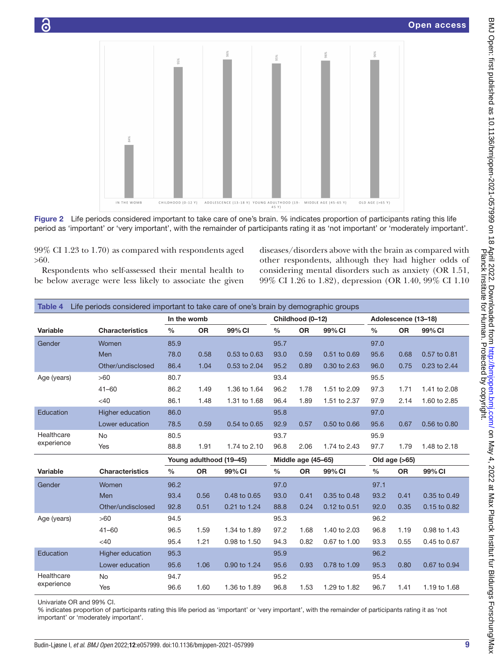

Figure 2 Life periods considered important to take care of one's brain. % indicates proportion of participants rating this life period as 'important' or 'very important', with the remainder of participants rating it as 'not important' or 'moderately important'.

99% CI 1.23 to 1.70) as compared with respondents aged >60.

Respondents who self-assessed their mental health to be below average were less likely to associate the given

<span id="page-8-0"></span>diseases/disorders above with the brain as compared with other respondents, although they had higher odds of considering mental disorders such as anxiety (OR 1.51, 99% CI 1.26 to 1.82), depression (OR 1.40, 99% CI 1.10

<span id="page-8-1"></span>

| Table 4     | Life periods considered important to take care of one's brain by demographic groups |               |           |                         |               |                    |              |               |                     |              |
|-------------|-------------------------------------------------------------------------------------|---------------|-----------|-------------------------|---------------|--------------------|--------------|---------------|---------------------|--------------|
|             |                                                                                     | In the womb   |           |                         |               | Childhood (0-12)   |              |               | Adolescence (13-18) |              |
| Variable    | <b>Characteristics</b>                                                              | $\frac{0}{0}$ | <b>OR</b> | 99% CI                  | $\frac{0}{0}$ | <b>OR</b>          | 99% CI       | $\frac{0}{0}$ | <b>OR</b>           | 99% CI       |
| Gender      | Women                                                                               | 85.9          |           |                         | 95.7          |                    |              | 97.0          |                     |              |
|             | Men                                                                                 | 78.0          | 0.58      | 0.53 to 0.63            | 93.0          | 0.59               | 0.51 to 0.69 | 95.6          | 0.68                | 0.57 to 0.81 |
|             | Other/undisclosed                                                                   | 86.4          | 1.04      | 0.53 to 2.04            | 95.2          | 0.89               | 0.30 to 2.63 | 96.0          | 0.75                | 0.23 to 2.44 |
| Age (years) | >60                                                                                 | 80.7          |           |                         | 93.4          |                    |              | 95.5          |                     |              |
|             | $41 - 60$                                                                           | 86.2          | 1.49      | 1.36 to 1.64            | 96.2          | 1.78               | 1.51 to 2.09 | 97.3          | 1.71                | 1.41 to 2.08 |
|             | $<$ 40                                                                              | 86.1          | 1.48      | 1.31 to 1.68            | 96.4          | 1.89               | 1.51 to 2.37 | 97.9          | 2.14                | 1.60 to 2.85 |
| Education   | <b>Higher education</b>                                                             | 86.0          |           |                         | 95.8          |                    |              | 97.0          |                     |              |
|             | Lower education                                                                     | 78.5          | 0.59      | 0.54 to 0.65            | 92.9          | 0.57               | 0.50 to 0.66 | 95.6          | 0.67                | 0.56 to 0.80 |
| Healthcare  | <b>No</b>                                                                           | 80.5          |           |                         | 93.7          |                    |              | 95.9          |                     |              |
| experience  | Yes                                                                                 | 88.8          | 1.91      | 1.74 to 2.10            | 96.8          | 2.06               | 1.74 to 2.43 | 97.7          | 1.79                | 1.48 to 2.18 |
|             |                                                                                     |               |           | Young adulthood (19-45) |               | Middle age (45-65) |              |               | Old age $(>65)$     |              |
| Variable    | <b>Characteristics</b>                                                              | $\frac{0}{0}$ | <b>OR</b> | 99% CI                  | $\frac{0}{0}$ | <b>OR</b>          | 99% CI       | $\frac{0}{0}$ | <b>OR</b>           | 99% CI       |
| Gender      | Women                                                                               | 96.2          |           |                         | 97.0          |                    |              | 97.1          |                     |              |
|             | Men                                                                                 | 93.4          | 0.56      | 0.48 to 0.65            | 93.0          | 0.41               | 0.35 to 0.48 | 93.2          | 0.41                | 0.35 to 0.49 |
|             | Other/undisclosed                                                                   | 92.8          | 0.51      | 0.21 to 1.24            | 88.8          | 0.24               | 0.12 to 0.51 | 92.0          | 0.35                | 0.15 to 0.82 |
| Age (years) | >60                                                                                 | 94.5          |           |                         | 95.3          |                    |              | 96.2          |                     |              |
|             | $41 - 60$                                                                           | 96.5          | 1.59      | 1.34 to 1.89            | 97.2          | 1.68               | 1.40 to 2.03 | 96.8          | 1.19                | 0.98 to 1.43 |
|             | $<$ 40                                                                              | 95.4          | 1.21      | 0.98 to 1.50            | 94.3          | 0.82               | 0.67 to 1.00 | 93.3          | 0.55                | 0.45 to 0.67 |
| Education   | Higher education                                                                    | 95.3          |           |                         | 95.9          |                    |              | 96.2          |                     |              |
|             | Lower education                                                                     | 95.6          | 1.06      | 0.90 to 1.24            | 95.6          | 0.93               | 0.78 to 1.09 | 95.3          | 0.80                | 0.67 to 0.94 |
| Healthcare  | <b>No</b>                                                                           | 94.7          |           |                         | 95.2          |                    |              | 95.4          |                     |              |
| experience  | Yes                                                                                 | 96.6          | 1.60      | 1.36 to 1.89            | 96.8          | 1.53               | 1.29 to 1.82 | 96.7          | 1.41                | 1.19 to 1.68 |

Univariate OR and 99% CI.

% indicates proportion of participants rating this life period as 'important' or 'very important', with the remainder of participants rating it as 'not important' or 'moderately important'.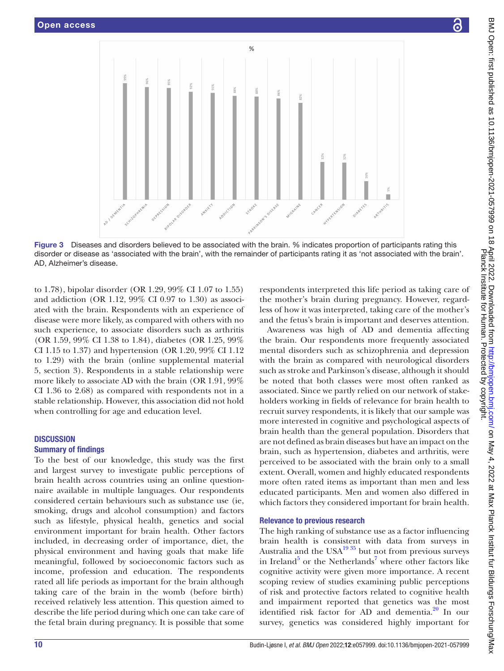

Figure 3 Diseases and disorders believed to be associated with the brain. % indicates proportion of participants rating this disorder or disease as 'associated with the brain', with the remainder of participants rating it as 'not associated with the brain'. AD, Alzheimer's disease.

to 1.78), bipolar disorder (OR 1.29, 99% CI 1.07 to 1.55) and addiction (OR 1.12, 99% CI 0.97 to 1.30) as associated with the brain. Respondents with an experience of disease were more likely, as compared with others with no such experience, to associate disorders such as arthritis (OR 1.59, 99% CI 1.38 to 1.84), diabetes (OR 1.25, 99% CI 1.15 to 1.37) and hypertension (OR 1.20, 99% CI 1.12 to 1.29) with the brain ([online supplemental material](https://dx.doi.org/10.1136/bmjopen-2021-057999) [5,](https://dx.doi.org/10.1136/bmjopen-2021-057999) section 3). Respondents in a stable relationship were more likely to associate AD with the brain (OR 1.91, 99% CI 1.36 to 2.68) as compared with respondents not in a stable relationship. However, this association did not hold when controlling for age and education level.

#### **DISCUSSION**

### Summary of findings

To the best of our knowledge, this study was the first and largest survey to investigate public perceptions of brain health across countries using an online questionnaire available in multiple languages. Our respondents considered certain behaviours such as substance use (ie, smoking, drugs and alcohol consumption) and factors such as lifestyle, physical health, genetics and social environment important for brain health. Other factors included, in decreasing order of importance, diet, the physical environment and having goals that make life meaningful, followed by socioeconomic factors such as income, profession and education. The respondents rated all life periods as important for the brain although taking care of the brain in the womb (before birth) received relatively less attention. This question aimed to describe the life period during which one can take care of the fetal brain during pregnancy. It is possible that some

<span id="page-9-0"></span>respondents interpreted this life period as taking care of the mother's brain during pregnancy. However, regardless of how it was interpreted, taking care of the mother's and the fetus's brain is important and deserves attention.

Awareness was high of AD and dementia affecting the brain. Our respondents more frequently associated mental disorders such as schizophrenia and depression with the brain as compared with neurological disorders such as stroke and Parkinson's disease, although it should be noted that both classes were most often ranked as associated. Since we partly relied on our network of stakeholders working in fields of relevance for brain health to recruit survey respondents, it is likely that our sample was more interested in cognitive and psychological aspects of brain health than the general population. Disorders that are not defined as brain diseases but have an impact on the brain, such as hypertension, diabetes and arthritis, were perceived to be associated with the brain only to a small extent. Overall, women and highly educated respondents more often rated items as important than men and less educated participants. Men and women also differed in which factors they considered important for brain health.

### Relevance to previous research

The high ranking of substance use as a factor influencing brain health is consistent with data from surveys in Australia and the USA $^{19\,35}$  but not from previous surveys in Ireland<sup>[5](#page-13-3)</sup> or the Netherlands<sup>[7](#page-13-4)</sup> where other factors like cognitive activity were given more importance. A recent scoping review of studies examining public perceptions of risk and protective factors related to cognitive health and impairment reported that genetics was the most identified risk factor for AD and dementia.<sup>[20](#page-13-13)</sup> In our survey, genetics was considered highly important for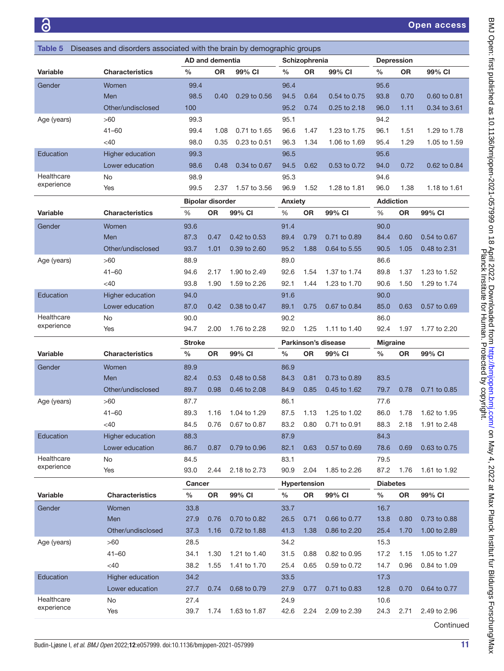<span id="page-10-0"></span>

| Diseases and disorders associated with the brain by demographic groups<br><b>Table 5</b> |                        |               |                         |              |               |                     |                     |                  |                   |              |
|------------------------------------------------------------------------------------------|------------------------|---------------|-------------------------|--------------|---------------|---------------------|---------------------|------------------|-------------------|--------------|
|                                                                                          |                        |               | <b>AD and dementia</b>  |              |               | Schizophrenia       |                     |                  | <b>Depression</b> |              |
| Variable                                                                                 | <b>Characteristics</b> | %             | <b>OR</b>               | 99% CI       | $\frac{0}{0}$ | <b>OR</b>           | 99% CI              | %                | <b>OR</b>         | 99% CI       |
| Gender                                                                                   | Women                  | 99.4          |                         |              | 96.4          |                     |                     | 95.6             |                   |              |
|                                                                                          | Men                    | 98.5          | 0.40                    | 0.29 to 0.56 | 94.5          | 0.64                | 0.54 to 0.75        | 93.8             | 0.70              | 0.60 to 0.81 |
|                                                                                          | Other/undisclosed      | 100           |                         |              | 95.2          | 0.74                | 0.25 to 2.18        | 96.0             | 1.11              | 0.34 to 3.61 |
| Age (years)                                                                              | >60                    | 99.3          |                         |              | 95.1          |                     |                     | 94.2             |                   |              |
|                                                                                          | $41 - 60$              | 99.4          | 1.08                    | 0.71 to 1.65 | 96.6          | 1.47                | 1.23 to 1.75        | 96.1             | 1.51              | 1.29 to 1.78 |
|                                                                                          | <40                    | 98.0          | 0.35                    | 0.23 to 0.51 | 96.3          | 1.34                | 1.06 to 1.69        | 95.4             | 1.29              | 1.05 to 1.59 |
| Education                                                                                | Higher education       | 99.3          |                         |              | 96.5          |                     |                     | 95.6             |                   |              |
|                                                                                          | Lower education        | 98.6          | 0.48                    | 0.34 to 0.67 | 94.5          | 0.62                | 0.53 to 0.72        | 94.0             | 0.72              | 0.62 to 0.84 |
| Healthcare                                                                               | No                     | 98.9          |                         |              | 95.3          |                     |                     | 94.6             |                   |              |
| experience                                                                               | Yes                    | 99.5          | 2.37                    | 1.57 to 3.56 | 96.9          | 1.52                | 1.28 to 1.81        | 96.0             | 1.38              | 1.18 to 1.61 |
|                                                                                          |                        |               | <b>Bipolar disorder</b> |              | Anxiety       |                     |                     | <b>Addiction</b> |                   |              |
| Variable                                                                                 | <b>Characteristics</b> | %             | <b>OR</b>               | 99% CI       | %             | <b>OR</b>           | 99% CI              | %                | <b>OR</b>         | 99% CI       |
| Gender                                                                                   | Women                  | 93.6          |                         |              | 91.4          |                     |                     | 90.0             |                   |              |
|                                                                                          | Men                    | 87.3          | 0.47                    | 0.42 to 0.53 | 89.4          | 0.79                | 0.71 to 0.89        | 84.4             | 0.60              | 0.54 to 0.67 |
|                                                                                          | Other/undisclosed      | 93.7          | 1.01                    | 0.39 to 2.60 | 95.2          | 1.88                | 0.64 to 5.55        | 90.5             | 1.05              | 0.48 to 2.31 |
| Age (years)                                                                              | >60                    | 88.9          |                         |              | 89.0          |                     |                     | 86.6             |                   |              |
|                                                                                          | 41-60                  | 94.6          | 2.17                    | 1.90 to 2.49 | 92.6          | 1.54                | 1.37 to 1.74        | 89.8             | 1.37              | 1.23 to 1.52 |
|                                                                                          | $<$ 40                 | 93.8          | 1.90                    | 1.59 to 2.26 | 92.1          | 1.44                | 1.23 to 1.70        | 90.6             | 1.50              | 1.29 to 1.74 |
| Education                                                                                | Higher education       | 94.0          |                         |              | 91.6          |                     |                     | 90.0             |                   |              |
|                                                                                          | Lower education        | 87.0          | 0.42                    | 0.38 to 0.47 | 89.1          | 0.75                | 0.67 to 0.84        | 85.0             | 0.63              | 0.57 to 0.69 |
| Healthcare                                                                               | No                     | 90.0          |                         |              | 90.2          |                     |                     | 86.0             |                   |              |
| experience                                                                               | Yes                    | 94.7          | 2.00                    | 1.76 to 2.28 | 92.0          | 1.25                | 1.11 to 1.40        | 92.4             | 1.97              | 1.77 to 2.20 |
|                                                                                          |                        |               |                         |              |               |                     |                     |                  |                   |              |
|                                                                                          |                        | <b>Stroke</b> |                         |              |               |                     | Parkinson's disease | <b>Migraine</b>  |                   |              |
| Variable                                                                                 | <b>Characteristics</b> | $\%$          | <b>OR</b>               | 99% CI       | %             | <b>OR</b>           | 99% CI              | %                | <b>OR</b>         | 99% CI       |
| Gender                                                                                   | Women                  | 89.9          |                         |              | 86.9          |                     |                     |                  |                   |              |
|                                                                                          | Men                    | 82.4          | 0.53                    | 0.48 to 0.58 | 84.3          | 0.81                | 0.73 to 0.89        | 83.5             |                   |              |
|                                                                                          | Other/undisclosed      | 89.7          | 0.98                    | 0.46 to 2.08 | 84.9          | 0.85                | 0.45 to 1.62        | 79.7             | 0.78              | 0.71 to 0.85 |
| Age (years)                                                                              | >60                    | 87.7          |                         |              | 86.1          |                     |                     | 77.6             |                   |              |
|                                                                                          | 41-60                  | 89.3          | 1.16                    | 1.04 to 1.29 | 87.5          | 1.13                | 1.25 to 1.02        | 86.0             | 1.78              | 1.62 to 1.95 |
|                                                                                          | <40                    | 84.5          | 0.76                    | 0.67 to 0.87 | 83.2          | 0.80                | 0.71 to 0.91        | 88.3             | 2.18              | 1.91 to 2.48 |
| Education                                                                                | Higher education       | 88.3          |                         |              | 87.9          |                     |                     | 84.3             |                   |              |
|                                                                                          | Lower education        | 86.7          | 0.87                    | 0.79 to 0.96 | 82.1          | 0.63                | 0.57 to 0.69        | 78.6             | 0.69              | 0.63 to 0.75 |
| Healthcare                                                                               | No                     | 84.5          |                         |              | 83.1          |                     |                     | 79.5             |                   |              |
| experience                                                                               | Yes                    | 93.0          | 2.44                    | 2.18 to 2.73 | 90.9          | 2.04                | 1.85 to 2.26        | 87.2             | 1.76              | 1.61 to 1.92 |
|                                                                                          |                        | Cancer        |                         |              |               | <b>Hypertension</b> |                     | <b>Diabetes</b>  |                   |              |
| Variable                                                                                 | <b>Characteristics</b> | $\%$          | <b>OR</b>               | 99% CI       | $\%$          | OR                  | 99% CI              | $\%$             | <b>OR</b>         | 99% CI       |
| Gender                                                                                   | <b>Women</b>           | 33.8          |                         |              | 33.7          |                     |                     | 16.7             |                   |              |
|                                                                                          | Men                    | 27.9          | 0.76                    | 0.70 to 0.82 | 26.5          | 0.71                | 0.66 to 0.77        | 13.8             | 0.80              | 0.73 to 0.88 |
|                                                                                          | Other/undisclosed      | 37.3          | 1.16                    | 0.72 to 1.88 | 41.3          | 1.38                | 0.86 to 2.20        | 25.4             | 1.70              | 1.00 to 2.89 |
| Age (years)                                                                              | >60                    | 28.5          |                         |              | 34.2          |                     |                     | 15.3             |                   |              |
|                                                                                          | $41 - 60$              | 34.1          | 1.30                    | 1.21 to 1.40 | 31.5          | 0.88                | 0.82 to 0.95        | 17.2             | 1.15              | 1.05 to 1.27 |
|                                                                                          | <40                    | 38.2          | 1.55                    | 1.41 to 1.70 | 25.4          | 0.65                | 0.59 to 0.72        | 14.7             | 0.96              | 0.84 to 1.09 |
| Education                                                                                | Higher education       | 34.2          |                         |              | 33.5          |                     |                     | 17.3             |                   |              |
|                                                                                          | Lower education        | 27.7          | 0.74                    | 0.68 to 0.79 | 27.9          | 0.77                | 0.71 to 0.83        | 12.8             | 0.70              | 0.64 to 0.77 |
| Healthcare<br>experience                                                                 | No<br>Yes              | 27.4<br>39.7  | 1.74                    | 1.63 to 1.87 | 24.9<br>42.6  | 2.24                | 2.09 to 2.39        | 10.6<br>24.3     | 2.71              | 2.49 to 2.96 |

BMJ Open: first published as 10.1136/bmjopen-2021-057999 on 18 April 2022. Downloaded from http://bmjopen.bmj.com/ on May 4, 2022 at Max Planck Institut fur Bildungs Forschung/Max<br>Planck Hublished as 10.1136/bmjopen-2021-0 Continued

Planck Institute for Human. Protected by copyright. BMJ Open: first published as 10.1136/bmjopen-2021-057999 on 18 April 2022. Downloaded from <http://bmjopen.bmj.com/> BMay 4, 2022 at Max Planck Institut fur Bildungs Forschung/Max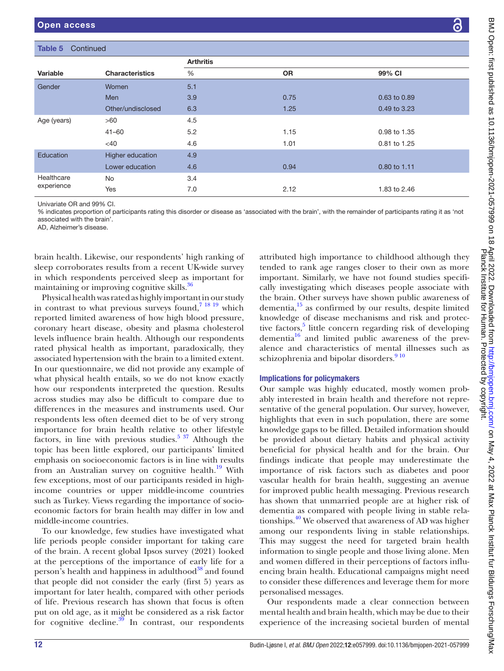| Table 5<br>Continued |                        |                  |           |              |
|----------------------|------------------------|------------------|-----------|--------------|
|                      |                        | <b>Arthritis</b> |           |              |
| Variable             | <b>Characteristics</b> | %                | <b>OR</b> | 99% CI       |
| Gender               | Women                  | 5.1              |           |              |
|                      | Men                    | 3.9              | 0.75      | 0.63 to 0.89 |
|                      | Other/undisclosed      | 6.3              | 1.25      | 0.49 to 3.23 |
| Age (years)          | >60                    | 4.5              |           |              |
|                      | $41 - 60$              | 5.2              | 1.15      | 0.98 to 1.35 |
|                      | $<$ 40                 | 4.6              | 1.01      | 0.81 to 1.25 |
| Education            | Higher education       | 4.9              |           |              |
|                      | Lower education        | 4.6              | 0.94      | 0.80 to 1.11 |
| Healthcare           | No                     | 3.4              |           |              |
| experience           | Yes                    | 7.0              | 2.12      | 1.83 to 2.46 |

Univariate OR and 99% CI.

% indicates proportion of participants rating this disorder or disease as 'associated with the brain', with the remainder of participants rating it as 'not associated with the brain'.

AD, Alzheimer's disease.

brain health. Likewise, our respondents' high ranking of sleep corroborates results from a recent UK-wide survey in which respondents perceived sleep as important for maintaining or improving cognitive skills.<sup>36</sup>

Physical health was rated as highly important in our study in contrast to what previous surveys found,<sup>7</sup> <sup>18</sup> <sup>19</sup> which reported limited awareness of how high blood pressure, coronary heart disease, obesity and plasma cholesterol levels influence brain health. Although our respondents rated physical health as important, paradoxically, they associated hypertension with the brain to a limited extent. In our questionnaire, we did not provide any example of what physical health entails, so we do not know exactly how our respondents interpreted the question. Results across studies may also be difficult to compare due to differences in the measures and instruments used. Our respondents less often deemed diet to be of very strong importance for brain health relative to other lifestyle factors, in line with previous studies.<sup>[5 37](#page-13-3)</sup> Although the topic has been little explored, our participants' limited emphasis on socioeconomic factors is in line with results from an Australian survey on cognitive health.<sup>[19](#page-13-22)</sup> With few exceptions, most of our participants resided in highincome countries or upper middle-income countries such as Turkey. Views regarding the importance of socioeconomic factors for brain health may differ in low and middle-income countries.

To our knowledge, few studies have investigated what life periods people consider important for taking care of the brain. A recent global Ipsos survey (2021) looked at the perceptions of the importance of early life for a person's health and happiness in adulthood<sup>38</sup> and found that people did not consider the early (first 5) years as important for later health, compared with other periods of life. Previous research has shown that focus is often put on old age, as it might be considered as a risk factor for cognitive decline. $39$  In contrast, our respondents

attributed high importance to childhood although they tended to rank age ranges closer to their own as more important. Similarly, we have not found studies specifically investigating which diseases people associate with the brain. Other surveys have shown public awareness of dementia, $15$  as confirmed by our results, despite limited knowledge of disease mechanisms and risk and protective factors,<sup>5</sup> little concern regarding risk of developing dementia $16$  and limited public awareness of the prevalence and characteristics of mental illnesses such as schizophrenia and bipolar disorders.<sup>910</sup>

### Implications for policymakers

Our sample was highly educated, mostly women probably interested in brain health and therefore not representative of the general population. Our survey, however, highlights that even in such population, there are some knowledge gaps to be filled. Detailed information should be provided about dietary habits and physical activity beneficial for physical health and for the brain. Our findings indicate that people may underestimate the importance of risk factors such as diabetes and poor vascular health for brain health, suggesting an avenue for improved public health messaging. Previous research has shown that unmarried people are at higher risk of dementia as compared with people living in stable relationships.<sup>40</sup> We observed that awareness of AD was higher among our respondents living in stable relationships. This may suggest the need for targeted brain health information to single people and those living alone. Men and women differed in their perceptions of factors influencing brain health. Educational campaigns might need to consider these differences and leverage them for more personalised messages.

Our respondents made a clear connection between mental health and brain health, which may be due to their experience of the increasing societal burden of mental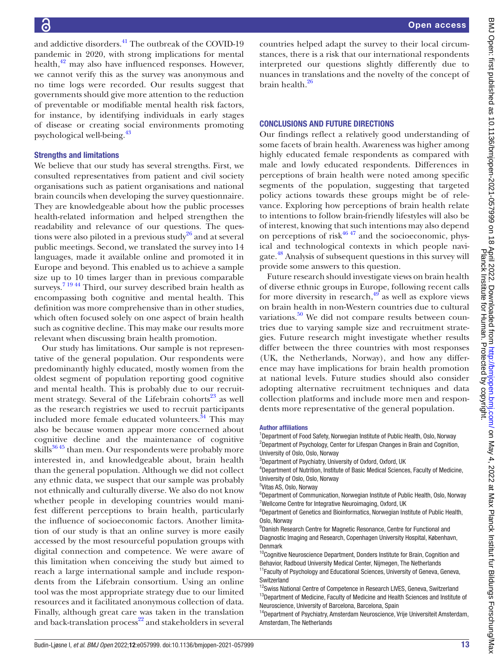and addictive disorders.<sup>41</sup> The outbreak of the COVID-19 pandemic in 2020, with strong implications for mental health,<sup>42</sup> may also have influenced responses. However, we cannot verify this as the survey was anonymous and no time logs were recorded. Our results suggest that governments should give more attention to the reduction of preventable or modifiable mental health risk factors, for instance, by identifying individuals in early stages of disease or creating social environments promoting psychological well-being.<sup>43</sup>

#### Strengths and limitations

We believe that our study has several strengths. First, we consulted representatives from patient and civil society organisations such as patient organisations and national brain councils when developing the survey questionnaire. They are knowledgeable about how the public processes health-related information and helped strengthen the readability and relevance of our questions. The questions were also piloted in a previous study $^{26}$  and at several public meetings. Second, we translated the survey into 14 languages, made it available online and promoted it in Europe and beyond. This enabled us to achieve a sample size up to 10 times larger than in previous comparable surveys.<sup>[7 19 44](#page-13-4)</sup> Third, our survey described brain health as encompassing both cognitive and mental health. This definition was more comprehensive than in other studies, which often focused solely on one aspect of brain health such as cognitive decline. This may make our results more relevant when discussing brain health promotion.

Our study has limitations. Our sample is not representative of the general population. Our respondents were predominantly highly educated, mostly women from the oldest segment of population reporting good cognitive and mental health. This is probably due to our recruitment strategy. Several of the Lifebrain cohorts $^{23}$  as well as the research registries we used to recruit participants included more female educated volunteers.<sup>[34](#page-14-4)</sup> This may also be because women appear more concerned about cognitive decline and the maintenance of cognitive skills $36\frac{45}{10}$  than men. Our respondents were probably more interested in, and knowledgeable about, brain health than the general population. Although we did not collect any ethnic data, we suspect that our sample was probably not ethnically and culturally diverse. We also do not know whether people in developing countries would manifest different perceptions to brain health, particularly the influence of socioeconomic factors. Another limitation of our study is that an online survey is more easily accessed by the most resourceful population groups with digital connection and competence. We were aware of this limitation when conceiving the study but aimed to reach a large international sample and include respondents from the Lifebrain consortium. Using an online tool was the most appropriate strategy due to our limited resources and it facilitated anonymous collection of data. Finally, although great care was taken in the translation and back-translation process<sup>22</sup> and stakeholders in several

countries helped adapt the survey to their local circumstances, there is a risk that our international respondents interpreted our questions slightly differently due to nuances in translations and the novelty of the concept of brain health.<sup>26</sup>

#### CONCLUSIONS AND FUTURE DIRECTIONS

Our findings reflect a relatively good understanding of some facets of brain health. Awareness was higher among highly educated female respondents as compared with male and lowly educated respondents. Differences in perceptions of brain health were noted among specific segments of the population, suggesting that targeted policy actions towards these groups might be of relevance. Exploring how perceptions of brain health relate to intentions to follow brain-friendly lifestyles will also be of interest, knowing that such intentions may also depend on perceptions of risk $4647$  and the socioeconomic, physical and technological contexts in which people navigate.<sup>48</sup> Analysis of subsequent questions in this survey will provide some answers to this question.

Future research should investigate views on brain health of diverse ethnic groups in Europe, following recent calls for more diversity in research,  $49^\circ$  as well as explore views on brain health in non-Western countries due to cultural variations. $50$  We did not compare results between countries due to varying sample size and recruitment strategies. Future research might investigate whether results differ between the three countries with most responses (UK, the Netherlands, Norway), and how any difference may have implications for brain health promotion at national levels. Future studies should also consider adopting alternative recruitment techniques and data collection platforms and include more men and respondents more representative of the general population.

#### Author affiliations

<sup>1</sup>Department of Food Safety, Norwegian Institute of Public Health, Oslo, Norway <sup>2</sup>Department of Psychology, Center for Lifespan Changes in Brain and Cognition, University of Oslo, Oslo, Norway

4 Department of Nutrition, Institute of Basic Medical Sciences, Faculty of Medicine, University of Oslo, Oslo, Norway

5 Vitas AS, Oslo, Norway

<sup>6</sup>Department of Communication, Norwegian Institute of Public Health, Oslo, Norway <sup>7</sup>Wellcome Centre for Integrative Neuroimaging, Oxford, UK

<sup>8</sup>Department of Genetics and Bioinformatics, Norwegian Institute of Public Health, Oslo, Norway

<sup>9</sup> Danish Research Centre for Magnetic Resonance, Centre for Functional and Diagnostic Imaging and Research, Copenhagen University Hospital, København, Denmark

<sup>10</sup>Cognitive Neuroscience Department, Donders Institute for Brain, Cognition and Behavior, Radboud University Medical Center, Nijmegen, The Netherlands

<sup>11</sup> Faculty of Psychology and Educational Sciences, University of Geneva, Geneva, **Switzerland** 

<sup>12</sup>Swiss National Centre of Competence in Research LIVES, Geneva, Switzerland <sup>13</sup>Department of Medicine, Faculty of Medicine and Health Sciences and Institute of Neuroscience, University of Barcelona, Barcelona, Spain

<sup>14</sup>Department of Psychiatry, Amsterdam Neuroscience, Vrije Universiteit Amsterdam, Amsterdam, The Netherlands

<sup>&</sup>lt;sup>3</sup>Department of Psychiatry, University of Oxford, Oxford, UK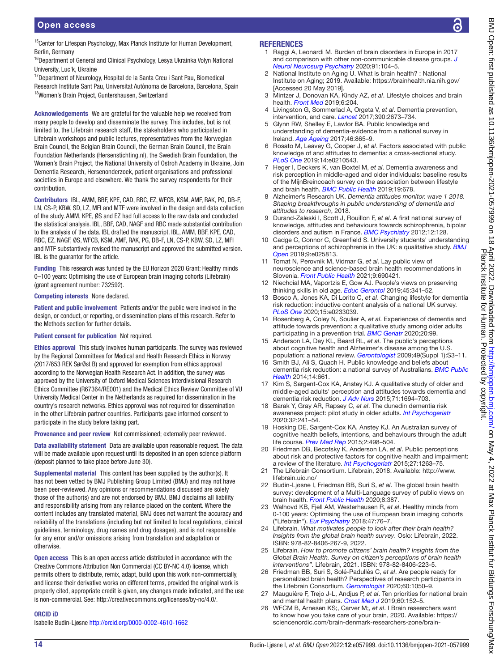# Open access

<sup>15</sup>Center for Lifespan Psychology, Max Planck Institute for Human Development, Berlin, Germany

<sup>16</sup>Department of General and Clinical Psychology, Lesya Ukrainka Volyn National University, Luc'k, Ukraine

<sup>17</sup>Department of Neurology, Hospital de la Santa Creu i Sant Pau, Biomedical Research Institute Sant Pau, Universitat Autònoma de Barcelona, Barcelona, Spain <sup>18</sup>Women's Brain Project, Guntershausen, Switzerland

Acknowledgements We are grateful for the valuable help we received from many people to develop and disseminate the survey. This includes, but is not limited to, the Lifebrain research staff, the stakeholders who participated in Lifebrain workshops and public lectures, representatives from the Norwegian Brain Council, the Belgian Brain Council, the German Brain Council, the Brain Foundation Netherlands (Hersenstichting.nl), the Swedish Brain Foundation, the Women's Brain Project, the National University of Ostroh Academy in Ukraine, Join Dementia Research, Hersenonderzoek, patient organisations and professional societies in Europe and elsewhere. We thank the survey respondents for their contribution.

Contributors IBL, AMM, BBF, KPE, CAD, RBC, EZ, WFCB, KSM, AMF, RAK, PG, DB-F, LN, CS-P, KBW, SD, LZ, MFI and MTF were involved in the design and data collection of the study. AMM, KPE, ØS and EZ had full access to the raw data and conducted the statistical analysis. IBL, BBF, CAD, NAGF and RBC made substantial contribution to the analysis of the data. IBL drafted the manuscript. IBL, AMM, BBF, KPE, CAD, RBC, EZ, NAGF, ØS, WFCB, KSM, AMF, RAK, PG, DB-F, LN, CS-P, KBW, SD, LZ, MFI and MTF substantively revised the manuscript and approved the submitted version. IBL is the guarantor for the article.

Funding This research was funded by the EU Horizon 2020 Grant: Healthy minds 0–100 years: Optimising the use of European brain imaging cohorts (Lifebrain) (grant agreement number: 732592).

#### Competing interests None declared.

Patient and public involvement Patients and/or the public were involved in the design, or conduct, or reporting, or dissemination plans of this research. Refer to the Methods section for further details.

#### Patient consent for publication Not required.

Ethics approval This study involves human participants. The survey was reviewed by the Regional Committees for Medical and Health Research Ethics in Norway (2017/653 REK SørØst B) and approved for exemption from ethics approval according to the Norwegian Health Research Act. In addition, the survey was approved by the University of Oxford Medical Sciences Interdivisional Research Ethics Committee (R67364/RE001) and the Medical Ethics Review Committee of VU University Medical Center in the Netherlands as required for dissemination in the country's research networks. Ethics approval was not required for dissemination in the other Lifebrain partner countries. Participants gave informed consent to participate in the study before taking part.

Provenance and peer review Not commissioned; externally peer reviewed.

Data availability statement Data are available upon reasonable request. The data will be made available upon request until its deposited in an open science platform (deposit planned to take place before June 30).

Supplemental material This content has been supplied by the author(s). It has not been vetted by BMJ Publishing Group Limited (BMJ) and may not have been peer-reviewed. Any opinions or recommendations discussed are solely those of the author(s) and are not endorsed by BMJ. BMJ disclaims all liability and responsibility arising from any reliance placed on the content. Where the content includes any translated material, BMJ does not warrant the accuracy and reliability of the translations (including but not limited to local regulations, clinical guidelines, terminology, drug names and drug dosages), and is not responsible for any error and/or omissions arising from translation and adaptation or otherwise.

Open access This is an open access article distributed in accordance with the Creative Commons Attribution Non Commercial (CC BY-NC 4.0) license, which permits others to distribute, remix, adapt, build upon this work non-commercially, and license their derivative works on different terms, provided the original work is properly cited, appropriate credit is given, any changes made indicated, and the use is non-commercial. See: [http://creativecommons.org/licenses/by-nc/4.0/.](http://creativecommons.org/licenses/by-nc/4.0/)

#### ORCID iD

Isabelle Budin-Ljøsne <http://orcid.org/0000-0002-4610-1662>

#### **REFERENCES**

- <span id="page-13-0"></span>1 Raggi A, Leonardi M. Burden of brain disorders in Europe in 2017 and comparison with other non-communicable disease groups. *[J](http://dx.doi.org/10.1136/jnnp-2019-320466)  [Neurol Neurosurg Psychiatry](http://dx.doi.org/10.1136/jnnp-2019-320466)* 2020;91:104–5.
- <span id="page-13-1"></span>2 National Institute on Aging U. What is brain health? : National Institute on Aging; 2019. Available: <https://brainhealth.nia.nih.gov/> [Accessed 20 May 2019].
- <span id="page-13-2"></span>3 Mintzer J, Donovan KA, Kindy AZ, *et al*. Lifestyle choices and brain health. *[Front Med](http://dx.doi.org/10.3389/fmed.2019.00204)* 2019;6:204.
- 4 Livingston G, Sommerlad A, Orgeta V, *et al*. Dementia prevention, intervention, and care. *[Lancet](http://dx.doi.org/10.1016/S0140-6736(17)31363-6)* 2017;390:2673–734.
- <span id="page-13-3"></span>5 Glynn RW, Shelley E, Lawlor BA. Public knowledge and understanding of dementia-evidence from a national survey in Ireland. *[Age Ageing](http://dx.doi.org/10.1093/ageing/afx082)* 2017;46:865–9.
- 6 Rosato M, Leavey G, Cooper J, *et al*. Factors associated with public knowledge of and attitudes to dementia: a cross-sectional study. *[PLoS One](http://dx.doi.org/10.1371/journal.pone.0210543)* 2019;14:e0210543.
- <span id="page-13-4"></span>7 Heger I, Deckers K, van Boxtel M, *et al*. Dementia awareness and risk perception in middle-aged and older individuals: baseline results of the MijnBreincoach survey on the association between lifestyle and brain health. *[BMC Public Health](http://dx.doi.org/10.1186/s12889-019-7010-z)* 2019;19:678.
- <span id="page-13-5"></span>8 Alzheimer's Research UK. *Dementia attitudes monitor. wave 1 2018. Shaping breakthroughs in public understanding of dementia and attitudes to research*, 2018.
- <span id="page-13-6"></span>9 Durand-Zaleski I, Scott J, Rouillon F, *et al*. A first national survey of knowledge, attitudes and behaviours towards schizophrenia, bipolar disorders and autism in France. *[BMC Psychiatry](http://dx.doi.org/10.1186/1471-244X-12-128)* 2012;12:128.
- <span id="page-13-7"></span>10 Cadge C, Connor C, Greenfield S. University students' understanding and perceptions of schizophrenia in the UK: a qualitative study. *[BMJ](http://dx.doi.org/10.1136/bmjopen-2018-025813)  [Open](http://dx.doi.org/10.1136/bmjopen-2018-025813)* 2019;9:e025813.
- <span id="page-13-8"></span>11 Tomat N, Perovnik M, Vidmar G, *et al*. Lay public view of neuroscience and science-based brain health recommendations in Slovenia. *[Front Public Health](http://dx.doi.org/10.3389/fpubh.2021.690421)* 2021;9:690421.
- <span id="page-13-9"></span>12 Niechcial MA, Vaportzis E, Gow AJ. People's views on preserving thinking skills in old age. *[Educ Gerontol](http://dx.doi.org/10.1080/03601277.2019.1627054)* 2019;45:341–52.
- 13 Bosco A, Jones KA, Di Lorito C, *et al*. Changing lifestyle for dementia risk reduction: inductive content analysis of a national UK survey. *[PLoS One](http://dx.doi.org/10.1371/journal.pone.0233039)* 2020;15:e0233039.
- <span id="page-13-10"></span>14 Rosenberg A, Coley N, Soulier A, *et al*. Experiences of dementia and attitude towards prevention: a qualitative study among older adults participating in a prevention trial. *[BMC Geriatr](http://dx.doi.org/10.1186/s12877-020-1493-4)* 2020;20:99.
- <span id="page-13-11"></span>15 Anderson LA, Day KL, Beard RL, *et al*. The public's perceptions about cognitive health and Alzheimer's disease among the U.S. population: a national review. *[Gerontologist](http://dx.doi.org/10.1093/geront/gnp088)* 2009;49(Suppl 1):S3–11.
- <span id="page-13-12"></span>16 Smith BJ, Ali S, Quach H. Public knowledge and beliefs about dementia risk reduction: a national survey of Australians. *[BMC Public](http://dx.doi.org/10.1186/1471-2458-14-661)  [Health](http://dx.doi.org/10.1186/1471-2458-14-661)* 2014;14:661.
- 17 Kim S, Sargent-Cox KA, Anstey KJ. A qualitative study of older and middle-aged adults' perception and attitudes towards dementia and dementia risk reduction. *[J Adv Nurs](http://dx.doi.org/10.1111/jan.12641)* 2015;71:1694–703.
- 18 Barak Y, Gray AR, Rapsey C, *et al*. The dunedin dementia risk awareness project: pilot study in older adults. *[Int Psychogeriatr](http://dx.doi.org/10.1017/S1041610219000772)* 2020;32:241–54.
- <span id="page-13-22"></span>19 Hosking DE, Sargent-Cox KA, Anstey KJ. An Australian survey of cognitive health beliefs, intentions, and behaviours through the adult life course. *[Prev Med Rep](http://dx.doi.org/10.1016/j.pmedr.2015.06.008)* 2015;2:498–504.
- <span id="page-13-13"></span>20 Friedman DB, Becofsky K, Anderson LA, *et al*. Public perceptions about risk and protective factors for cognitive health and impairment: a review of the literature. *[Int Psychogeriatr](http://dx.doi.org/10.1017/S1041610214002877)* 2015;27:1263–75.
- <span id="page-13-14"></span>21 The Lifebrain Consortium. Lifebrain, 2018. Available: [http://www.](http://www.lifebrain.uio.no/) [lifebrain.uio.no/](http://www.lifebrain.uio.no/)
- <span id="page-13-15"></span>22 Budin-Ljøsne I, Friedman BB, Suri S, *et al*. The global brain health survey: development of a Multi-Language survey of public views on brain health. *[Front Public Health](http://dx.doi.org/10.3389/fpubh.2020.00387)* 2020;8:387.
- <span id="page-13-16"></span>23 Walhovd KB, Fjell AM, Westerhausen R, *et al*. Healthy minds from 0-100 years: Optimising the use of European brain imaging cohorts ("Lifebrain"). *[Eur Psychiatry](http://dx.doi.org/10.1016/j.eurpsy.2017.10.005)* 2018;47:76–7.
- <span id="page-13-17"></span>24 Lifebrain. *What motivates people to look after their brain health? Insights from the global brain health survey*. Oslo: Lifebrain, 2022. ISBN: 978-82-8406-267-9, 2022.
- <span id="page-13-18"></span>Lifebrain. How to promote citizens' brain health? Insights from the *Global Brain Health. Survey on citizen's perceptions of brain health interventions"*. Lifebrain, 2021. ISBN: 978-82-8406-223-5.
- <span id="page-13-19"></span>26 Friedman BB, Suri S, Solé-Padullés C, *et al*. Are people ready for personalized brain health? Perspectives of research participants in the Lifebrain Consortium. *[Gerontologist](http://dx.doi.org/10.1093/geront/gnz155)* 2020;60:1050–9.
- <span id="page-13-20"></span>27 Mauguière F, Trejo J-L, Andjus P, *et al*. Ten priorities for national brain and mental health plans. *[Croat Med J](http://dx.doi.org/10.3325/cmj.2019.60.152)* 2019;60:152–5.
- <span id="page-13-21"></span>28 WFCM B, Arnesen KS;, Carver M;, *et al*. I Brain researchers want to know how you take care of your brain, 2020. Available: [https://](https://sciencenordic.com/brain-denmark-researchers-zone/brain-researchers-want-to-know-how-you-take-care-of-your-brain/1621966) [sciencenordic.com/brain-denmark-researchers-zone/brain-](https://sciencenordic.com/brain-denmark-researchers-zone/brain-researchers-want-to-know-how-you-take-care-of-your-brain/1621966)